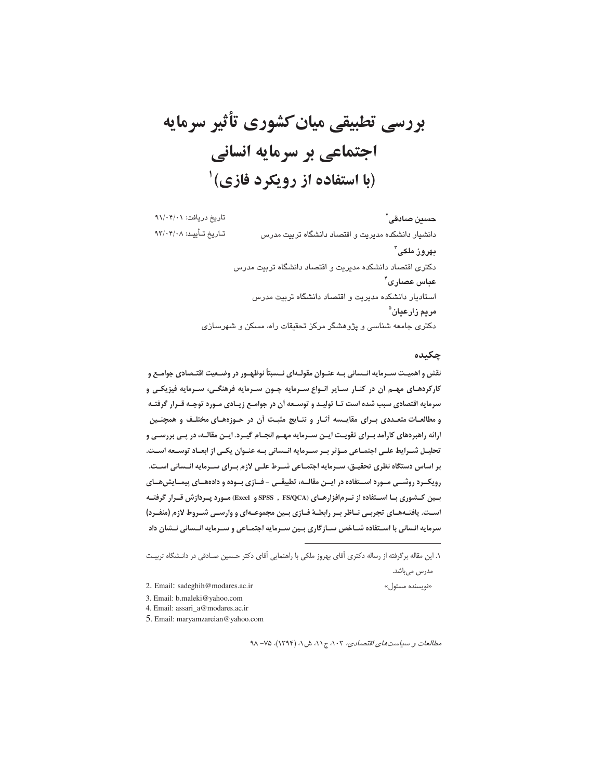# بررسی تطبیقی میان کشوری تأثیر سرمایه اجتماعی بر سرمایه انسانی (با استفاده از رویکرد فازی)<sup>۱</sup>

**حسین صادقی<sup>۲</sup> مسلامی تاریخ دریافت** ۲ ۱/۰۴/۰۰ تاریخ دریافت: ۹۱/۰۴/۰۱ تاريخ تـأييـد: ٩٣/٠۴/٠٨ دانشیار دانشکده مدیریت و اقتصاد دانشگاه تربیت مدرس بهروز ملکی<sup>۳</sup> دکتری اقتصاد دانشکده مدیریت و اقتصاد دانشگاه تربیت مدرس عباس عصارى ً استادیار دانشکده مدیریت و اقتصاد دانشگاه تربیت مدرس مريم زارعيان<sup>ه</sup> دکتری جامعه شناسی و پژوهشگر مرکز تحقیقات راه، مسکن و شهرسازی

## چکیده

«نويسنده مس

نقش و اهمیـت سـرمایه انــسانی بــه عنــوان مقولــهای نــسبتاً نوظهــور در وضــعیت اقتــصادی جوامــع و کارکردهـای مهـم آن در کنـار سـایر انـواع سـرمایه چـون سـرمایه فرهنگـی، سـرمایه فیزیکـی و سرمایه اقتصادی سبب شده است تـا تولیـد و توسـعه أن در جوامـع زیـادی مـورد توجـه قـرار گرفتـه و مطالعـات متعـددي بـراي مقايــسه أثـار و نتـايج مثبـت أن در حـوزههـاي مختلـف و همچنـين ارائه راهبردهای کارآمد بـرای تقویـت ایـن سـرمایه مهـم انجـام گیـرد. ایـن مقالـه، در پـی بررسـی و تحلیـل شــرایط علــی اجتمــاعی مــؤثر بــر ســرمایه انــسانی بــه عنــوان یکــی از ابعــاد توســعه اســت. بر اساس دستگاه نظری تحقیـق، سـرمایه اجتمـاعی شـرط علـی لازم بـرای سـرمایه انــسانی اسـت. رویک رد روشسی مورد استفاده در ایسن مقالسه، تطبیقسی -فسازی بسوده و دادههسای پیمسایش هسای بسین کــشوری بــا اســتفاده از نــرم|فزارهــای (SPSS), FS/QCA و Excel) مــورد پــردازش قــرار گرفتــه اسـت. یافتــههــای تجربــی نــاظر بــر رابطــهٔ فــازی بــین مجموعــهای و وارســی شــروط لازم (منفــرد) سرمایه انسانی با اسـتفاده شـاخص سـازگاری بـین سـرمایه اجتمـاعی و سـرمایه انـسانی نـشان داد

-

- 2. Email: sadeghih@modares.ac.ir
- 3. Email: b.maleki@yahoo.com
- 4. Email: assari\_a@modares.ac.ir
- 5. Email: maryamzareian@yahoo.com

مطالعات و سياست *هاي اقتصادي، ١٠٣، ج١١،* ش ١، (١٣٩۴)، ٧٥- ٩٨

۱. این مقاله برگرفته از رساله دکتری آقای بهروز ملکی با راهنمایی آقای دکتر حـسین صــادقی در دانــشگاه تربیــت مدرس مىباشد.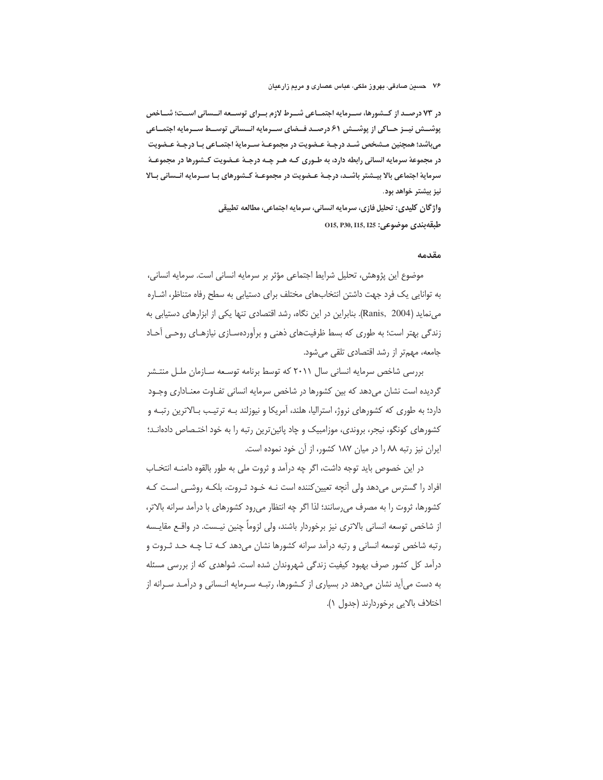در ۷۳ درصـد از کـشورها، سـرمایه اجتمـاعی شـرط لازم بـرای توسـعه انـسانی اسـت؛ شـاخص پوشـــش نیــز حــاکی از پوشـــش ۶۱ درصــد فــضای ســرمایه انـــسانی توســط ســرمایه اجتمــاعی میباشد؛ همچنین مـشخص شـد درجـهٔ عـضویت در مجموعـهٔ سـرمایهٔ اجتمـاعی بـا درجـهٔ عـضویت در مجموعهٔ سرمایه انسانی رابطه دارد، به طـوری کـه هـر چـه درجـهٔ عـضویت کـشورها در مجموعـهٔ سرمایهٔ اجتماعی بالا بیـشتر باشـد، درجـهٔ عـضویت در مجموعـهٔ کـشورهای بـا سـرمایه انـسانی بـالا نیز بیشتر خواهد بود.

> واژگان کلیدی: تحلیل فازی، سرمایه انسانی، سرمایه اجتماعی، مطالعه تطبیقی 015, P30, I15, I25 : دوضوعي: 015, P30, I15, I25

#### مقدمه

موضوع اين پژوهش، تحليل شرايط اجتماعي مؤثر بر سرمايه انساني است. سرمايه انساني، به توانایی یک فرد جهت داشتن انتخابهای مختلف برای دستیابی به سطح رفاه متناظر، اشـاره می نماید (Ranis, 2004). بنابراین در این نگاه، رشد اقتصادی تنها یکی از ابزارهای دستیابی به زندگی بهتر است؛ به طوری که بسط ظرفیتهای ذهنی و برآوردهسازی نیازهای روحی آحاد جامعه، مهمتر از رشد اقتصادی تلقی میشود.

بررسی شاخص سرمایه انسانی سال ۲۰۱۱ که توسط برنامه توسـعه سـازمان ملـل منتـشر گردیده است نشان میدهد که بین کشورها در شاخص سرمایه انسانی تفـاوت معنـاداری وجـود دارد؛ به طوری که کشورهای نروژ، استرالیا، هلند، آمریکا و نیوزلند بـه ترتیـب بـالاترین رتبـه و کشورهای کونگو، نیجر، بروندی، موزامبیک و چاد پائین ترین رتبه را به خود اختـصاص دادهانـد؛ ایران نیز رتبه ٨٨ را در میان ١٨٧ كشور، از آن خود نموده است.

در این خصوص باید توجه داشت، اگر چه درآمد و ثروت ملی به طور بالقوه دامنــه انتخــاب افراد را گسترس میدهد ولی آنچه تعیین کننده است نـه خـود ثـروت، بلکـه روشـی اسـت کـه كشورها، ثروت را به مصرف مىرسانند؛ لذا اگر چه انتظار مىرود كشورهاى با درآمد سرانه بالاتر، از شاخص توسعه انسانی بالاتری نیز برخوردار باشند، ولی لزوماً چنین نیـست. در واقــع مقایـسه رتبه شاخص توسعه انسانی و رتبه درآمد سرانه کشورها نشان می دهد کـه تـا چـه حـد ثـروت و درآمد کل کشور صرف بهبود کیفیت زندگی شهروندان شده است. شواهدی که از بررسی مسئله به دست میآید نشان میدهد در بسیاری از کشورها، رتبـه سـرمایه انـسانی و درآمـد سـرانه از اختلاف بالايي برخوردارند (جدول ١).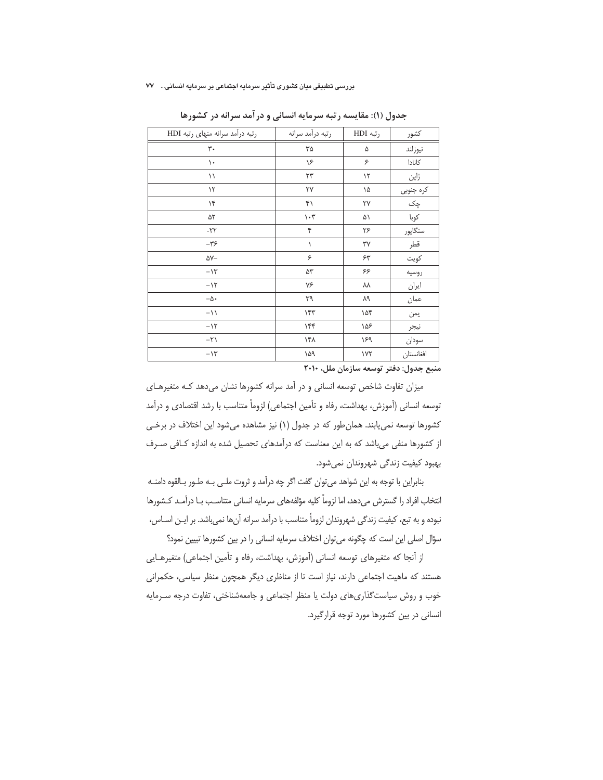| رتبه درآمد سرانه منهای رتبه HDI | رتبه درآمد سرانه              | رتبه HDI      | كشور            |
|---------------------------------|-------------------------------|---------------|-----------------|
| $\mathbf{r}$ .                  | ٣۵                            | ۵             | نيوزلند         |
| ١.                              | ۱۶                            | ۶             | كانادا          |
| ۱۱                              | ٢٣                            | $\mathcal{N}$ | ژاپن            |
| $\mathcal{N}$                   | ٢٧                            | ۱۵            |                 |
| ۱۴                              | ۴١                            | ٢٧            | کرہ جنوبی<br>چک |
| ۵٢                              | $\mathcal{N}\cdot\mathcal{N}$ | ۵۱            | كوبا            |
| $-YY$                           | ۴                             | ۲۶            | سنگاپور         |
| $-\tau$ ۶                       | ١                             | ٣٧            | قطر             |
| $\Delta V-$                     | ۶                             | ۶۳            | كويت            |
| $-\lambda\mathbf{r}$            | ۵٣                            | ۶۶            | روسيه           |
| $-11$                           | ٧۶                            | ٨٨            | ايران           |
| $-\Delta$ .                     | ٣٩                            | ٨٩            | عمان            |
| $-11$                           | ۱۴۳                           | ۱۵۴           | يمن             |
| $-15$                           | ۱۴۴                           | ۱۵۶           | نيجر            |
| $-\Upsilon$                     | ۱۴۸                           | ١۶٩           | سودان           |
| $-11$                           | ۱۵۹                           | $\gamma$      | افغانستان       |

جدول (۱): مقایسه رتبه سرمایه انسانی و درآمد سرانه در کشورها

منبع جدول: دفتر توسعه سازمان ملل، ٢٠١٠

میزان تفاوت شاخص توسعه انسانی و در آمد سرانه کشورها نشان می دهد کـه متغیرهـای توسعه انسانی (آموزش، بهداشت، رفاه و تأمین اجتماعی) لزوماً متناسب با رشد اقتصادی و درآمد کشورها توسعه نمی یابند. همان طور که در جدول (۱) نیز مشاهده میشود این اختلاف در برخی از کشورها منفی می باشد که به این معناست که درآمدهای تحصیل شده به اندازه کـافی صـرف بهبود كيفيت زندگي شهروندان نمي شود.

بنابراین با توجه به این شواهد می توان گفت اگر چه درآمد و ثروت ملـی بـه طـور بـالقوه دامنـه انتخاب افراد را گسترش میدهد، اما لزوماً کلیه مؤلفههای سرمایه انسانی متناسـب بـا درآمـد کـشورها نبوده و به تبع، کیفیت زندگی شهروندان لزوماً متناسب با درآمد سرانه آنها نمیباشد. بر ایـن اسـاس، سؤال اصلی این است که چگونه می توان اختلاف سرمایه انسانی را در بین کشورها تبیین نمود؟

از آنجا که متغیرهای توسعه انسانی (آموزش، بهداشت، رفاه و تأمین اجتماعی) متغیرهـایی هستند که ماهیت اجتماعی دارند، نیاز است تا از مناظری دیگر همچون منظر سیاسی، حکمرانی خوب و روش سیاست گذاری های دولت یا منظر اجتماعی و جامعهشناختی، تفاوت درجه سرمایه انسانی در بین کشورها مورد توجه قرارگیرد.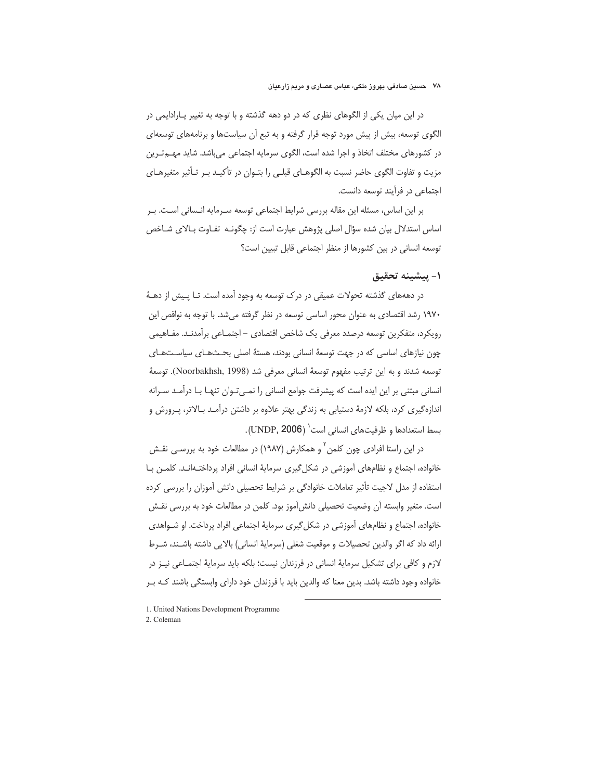در این میان یکی از الگوهای نظری که در دو دهه گذشته و با توجه به تغییر پـارادایمی در الگوی توسعه، بیش از پیش مورد توجه قرار گرفته و به تبع آن سیاستها و برنامههای توسعهای در كشورهاي مختلف اتخاذ و اجرا شده است، الگوي سرمايه اجتماعي مي باشد. شايد مهــمتـرين مزیت و تفاوت الگوی حاضر نسبت به الگوهـای قبلـی را بتـوان در تأکیـد بـر تـأثیر متغیرهـای اجتماعی در فرآیند توسعه دانست.

بر این اساس، مسئله این مقاله بررسی شرایط اجتماعی توسعه سـرمایه انـسانی اسـت. بـر اساس استدلال بیان شده سؤال اصلی پژوهش عبارت است از: چگونـه تفـاوت بـالای شـاخص توسعه انسانی در بین کشورها از منظر اجتماعی قابل تبیین است؟

## ١- يبشينه تحقيق

در دهههای گذشته تحولات عمیقی در درک توسعه به وجود آمده است. تـا پـیش از دهـهٔ ۱۹۷۰ رشد اقتصادی به عنوان محور اساسی توسعه در نظر گرفته می شد. با توجه به نواقص این رويكرد، متفكرين توسعه درصدد معرفي يك شاخص اقتصادي – اجتمـاعي برآمدنـد. مفـاهيمي چون نیازهای اساسی که در جهت توسعهٔ انسانی بودند، هستهٔ اصلی بحـثهـای سیاسـتهـای توسعه شدند و به این ترتیب مفهوم توسعهٔ انسانی معرفی شد (Noorbakhsh, 1998). توسعهٔ انسانی مبتنی بر این ایده است که پیشرفت جوامع انسانی را نمـی تـوان تنهـا بـا درآمـد سـرانه اندازهگیری کرد، بلکه لازمهٔ دستیابی به زندگی بهتر علاوه بر داشتن درآمـد بـالاتر، پـرورش و بسط استعدادها و ظرفیتهای انسانی است<sup>\</sup> (UNDP, 2006).

در این راستا افرادی چون کلمن ٔ و همکارش (۱۹۸۷) در مطالعات خود به بررسـی نقـش خانواده، اجتماع و نظامهای آموزشی در شکل گیری سرمایهٔ انسانی افراد پرداختـهانـد. کلمــن بــا استفاده از مدل لاجیت تأثیر تعاملات خانوادگی بر شرایط تحصیلی دانش آموزان را بررسی کرده است. متغیر وابسته آن وضعیت تحصیلی دانش[موز بود. کلمن در مطالعات خود به بررسی نقـش خانواده، اجتماع و نظامهای آموزشی در شکل گیری سرمایهٔ اجتماعی افراد پرداخت. او شـواهدی ارائه داد که اگر والدین تحصیلات و موقعیت شغلی (سرمایهٔ انسانی) بالایی داشته باشـند، شـرط لازم و كافي براي تشكيل سرماية انساني در فرزندان نيست؛ بلكه بايد سرماية اجتمـاعي نيـز در خانواده وجود داشته باشد. بدین معنا که والدین باید با فرزندان خود دارای وابستگی باشند کـه بـر

2. Coleman

<sup>1.</sup> United Nations Development Programme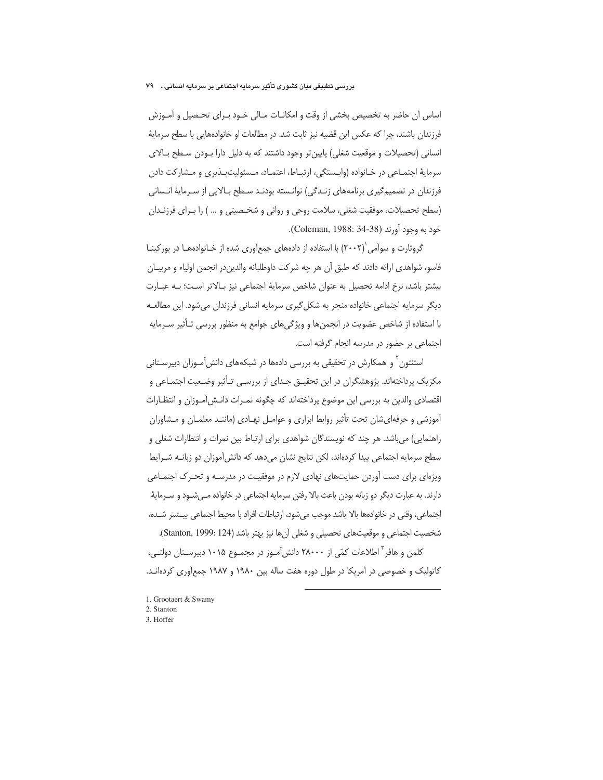#### بررسی تطبیقی میان کشوری تأثیر سرمایه اجتماعی بر سرمایه انسانی… ۷۹

اساس آن حاضر به تخصیص بخشی از وقت و امکانـات مـالی خـود بـرای تحـصیل و آمـوزش فرزندان باشند، چرا که عکس این قضیه نیز ثابت شد. در مطالعات او خانوادههایی با سطح سرمایهٔ انسانی (تحصیلات و موقعیت شغلی) پایین تر وجود داشتند که به دلیل دارا بـودن سـطح بـالای سرمایهٔ اجتمـاعی در خـانواده (وابــستگی، ارتبـاط، اعتمــاد، مـسئولیتپــذیری و مــشارکت دادن فرزندان در تصمیمگیری برنامههای زنـدگی) توانـسته بودنـد سـطح بـالایی از سـرمایهٔ انـسانی (سطح تحصيلات، موفقيت شغلي، سلامت روحي و رواني و شخـصيتي و ...) را بـراي فرزنـدان خود به وجود آورند (Coleman, 1988: 34-38).

گروتارت و سوآمی`(۲۰۰۲) با استفاده از دادههای جمعآوری شده از خـانوادههـا در بورکینـا فاسو، شواهدي ارائه دادند كه طبق أن هر چه شركت داوطلبانه والدين،در انجمن اولياء و مربيـان بیشتر باشد، نرخ ادامه تحصیل به عنوان شاخص سرمایهٔ اجتماعی نیز بالاتر است؛ بـه عبـارت دیگر سرمایه اجتماعی خانواده منجر به شکل5یری سرمایه انسانی فرزندان میشود. این مطالعـه با استفاده از شاخص عضويت در انجمنها و ويژگىهاى جوامع به منظور بررسى تـأثير سـرمايه اجتماعی بر حضور در مدرسه انجام گرفته است.

استنتون<sup>۲</sup> و همکارش در تحقیقی به بررسی دادهها در شبکههای دانش[مـوزان دبیرسـتانی مکزیک پرداختهاند. پژوهشگران در این تحقیــق جــدای از بررســی تــأثیر وضــعیت اجتمــاعی و اقتصادي والدين به بررسي اين موضوع پرداختهاند كه چگونه نمـرات دانـش[مـوزان و انتظـارات آموزشی و حرفهایشان تحت تأثیر روابط ابزاری و عوامـل نهـادی (ماننـد معلمـان و مـشاوران راهنمایی) می باشد. هر چند که نویسندگان شواهدی برای ارتباط بین نمرات و انتظارات شغلی و سطح سرمایه اجتماعی پیدا کردهاند، لکن نتایج نشان میدهد که دانشآموزان دو زبانــه شــرایط ویژهای برای دست آوردن حمایتهای نهادی لازم در موفقیت در مدرسـه و تحـرک اجتمـاعی دارند. به عبارت دیگر دو زبانه بودن باعث بالا رفتن سرمایه اجتماعی در خانواده مـیشــود و ســرمایهٔ اجتماعی، وقتی در خانوادهها بالا باشد موجب میشود، ارتباطات افراد با محیط اجتماعی بیــشتر شــده، شخصيت اجتماعي و موقعيتهاي تحصيلي و شغلي أنها نيز بهتر باشد (Stanton, 1999: 124).

کلمن و هافر<sup>"</sup> اطلاعات کمّی از ۲۸۰۰۰ دانش[مـوز در مجمـوع ۱۰۱۵ دبیرسـتان دولتـی، کاتولیک و خصوصی در آمریکا در طول دوره هفت ساله بین ۱۹۸۰ و ۱۹۸۷ جمعآوری کردهانــد.

-

- 1. Grootaert & Swamy
- 2. Stanton
- 3. Hoffer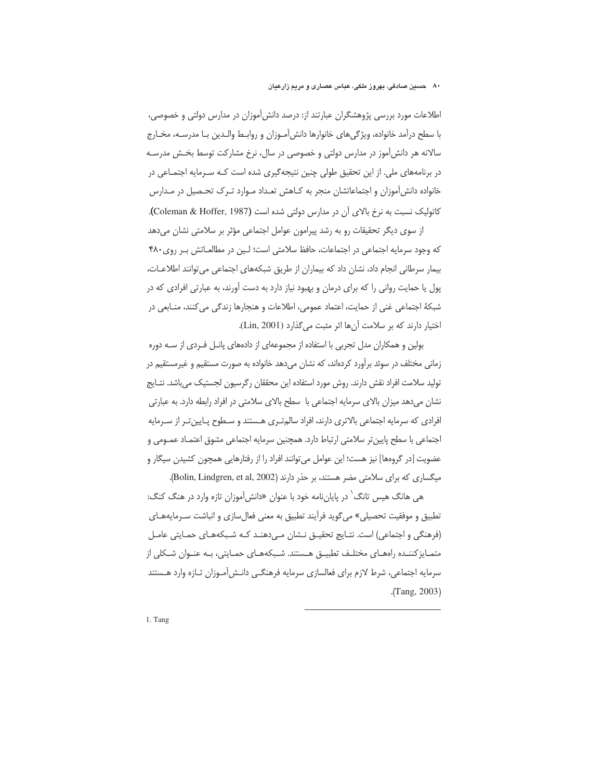اطلاعات مورد بررسی پژوهشگران عبارتند از: درصد دانش آموزان در مدارس دولتی و خصوصی، با سطح درآمد خانواده، ویژگیهای خانوارها دانش[مـوزان و روابـط والـدین بـا مدرسـه، مخـارج سالانه هر دانش[موز در مدارس دولتی و خصوصی در سال، نرخ مشارکت توسط بخـش مدرسـه در برنامههای ملی. از این تحقیق طولی چنین نتیجهگیری شده است کـه سـرمایه اجتمـاعی در خانواده دانش[موزان و اجتماعاتشان منجر به کـاهش تعـداد مـوارد تـرک تحـصيل در مـدارس کاتولیک نسبت به نرخ بالای آن در مدارس دولتی شده است (Coleman & Hoffer, 1987).

از سوی دیگر تحقیقات رو به رشد پیرامون عوامل اجتماعی مؤثر بر سلامتی نشان میدهد که وجود سرمایه اجتماعی در اجتماعات، حافظ سلامتی است؛ لـین در مطالعـاتش بـر روی ۴۸۰ بيمار سرطاني انجام داد، نشان داد كه بيماران از طريق شبكههاي اجتماعي مي توانند اطلاعـات، پول یا حمایت روانی را که برای درمان و بهبود نیاز دارد به دست آورند، به عبارتی افرادی که در شبكة اجتماعي غني از حمايت، اعتماد عمومي، اطلاعات و هنجارها زندگي مي كنند، منـابعي در اختيار دارند كه بر سلامت آنها اثر مثبت مي گذارد (Lin, 2001).

بولین و همکاران مدل تجربی با استفاده از مجموعهای از دادههای پانـل فـردی از ســه دوره زمانی مختلف در سوئد برآورد کردهاند، که نشان میدهد خانواده به صورت مستقیم و غیرمستقیم در توليد سلامت افراد نقش دارند. روش مورد استفاده اين محققان رگرسيون لجستيک مىباشد. نتــايج نشان می دهد میزان بالای سرمایه اجتماعی با سطح بالای سلامتی در افراد رابطه دارد. به عبارتی افرادی که سرمایه اجتماعی بالاتری دارند، افراد سالم تـری هـستند و سـطوح پـایین تـر از سـرمایه اجتماعي با سطح پايين تر سلامتي ارتباط دارد. همچنين سرمايه اجتماعي مشوق اعتمـاد عمـومي و عضویت [در گروهها] نیز هست؛ این عوامل می¤وانند افراد را از رفتارهایی همچون کشیدن سیگار و میگساری که برای سلامتی مضر هستند، بر حذر دارند (Bolin, Lindgren, et al, 2002).

هی هانگ هیس تانگ<sup>۱</sup> در پایاننامه خود با عنوان «دانش[موزان تازه وارد در هنگ کنگ: تطبيق و موفقيت تحصيلي» مي گويد فرآيند تطبيق به معنى فعال سازي و انباشت سـرمايههـاي (فرهنگی و اجتماعی) است. نتـایج تحقیـق نـشان مـیدهنـد کـه شـبکههـای حمـایتی عامـل متمـایز کننـده راههـای مختلـف تطبیــق هــستند. شـبکههـای حمـایتی، بـه عنـوان شـکلی از سرمایه اجتماعی، شرط لازم برای فعالسازی سرمایه فرهنگـی دانـشآمـوزان تــازه وارد هــستند  $(Tang, 2003)$ 

-

1. Tang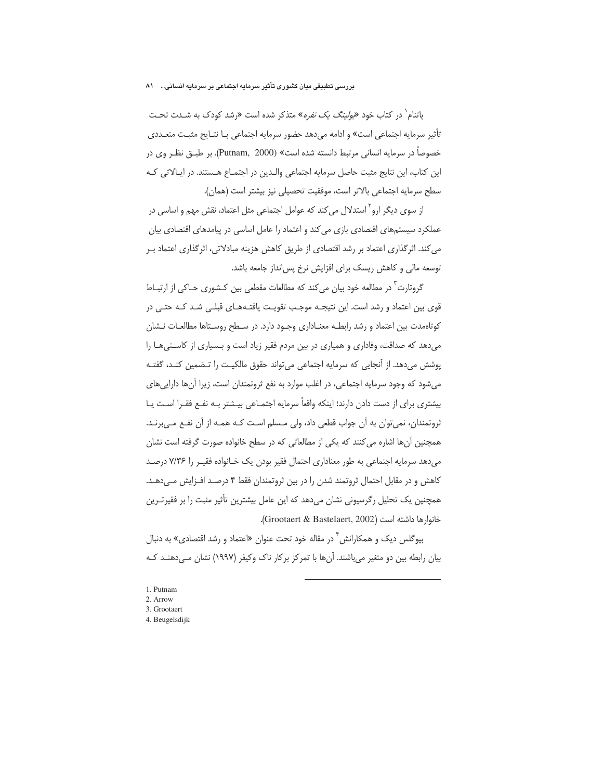#### بررسی تطبیقی میان کشوری تأثیر سرمایه اجتماعی بر سرمایه انسانی... ۸۱

یاتنام<sup>۱</sup> در کتاب خود *«بولینگ یک نفره»* متذکر شده است «رشد کودک به شـدت تحـت تأثیر سرمایه اجتماعی است» و ادامه می دهد حضور سرمایه اجتماعی بـا نتـایج مثبـت متعــددی خصوصاً در سرمایه انسانی مرتبط دانسته شده است» (Putnam, 2000). بر طبــق نظـر وی در این کتاب، این نتایج مثبت حاصل سرمایه اجتماعی والـدین در اجتمـاع هـستند. در ایـالاتی کـه سطح سرمايه اجتماعي بالاتر است، موفقيت تحصيلي نيز بيشتر است (همان).

از سوی دیگر ارو<sup>۲</sup> استدلال می *کند* که عوامل اجتماعی مثل اعتماد، نقش مهم و اساسی در عملکرد سیستمهای اقتصادی بازی می کند و اعتماد را عامل اساسی در پیامدهای اقتصادی بیان می کند. اثر گذاری اعتماد بر رشد اقتصادی از طریق کاهش هزینه مبادلاتی، اثرگذاری اعتماد بـر توسعه مالی و کاهش ریسک برای افزایش نرخ پس انداز جامعه باشد.

گروتارت<sup>۳</sup> در مطالعه خود بیان می *کند* که مطالعات مقطعی بین کـشوری حـاکی از ارتبــاط قوی بین اعتماد و رشد است. این نتیجـه موجـب تقویـت یافتـههـای قبلـی شـد کـه حتـی در کوتاهمدت بین اعتماد و رشد رابطـه معنــاداری وجــود دارد. در ســطح روســتاها مطالعــات نــشان می دهد که صداقت، وفاداری و همپاری در بین مردم فقیر زیاد است و بـسیاری از کاسـتی هـا را یوشش میدهد. از آنجایی که سرمایه اجتماعی می تواند حقوق مالکیـت را تـضمین کنـد، گفتـه می شود که وجود سرمایه اجتماعی، در اغلب موارد به نفع ثروتمندان است، زیرا آنها دارایی های بیشتری برای از دست دادن دارند؛ اینکه واقعاً سرمایه اجتمـاعی بیـشتر بـه نفـع فقـرا اسـت یـا ثروتمندان، نمی توان به آن جواب قطعی داد، ولی مـسلم اسـت کـه همـه از آن نفـع مـی,برنـد. همچنین آنها اشاره می کنند که یکی از مطالعاتی که در سطح خانواده صورت گرفته است نشان می دهد سرمایه اجتماعی به طور معناداری احتمال فقیر بودن یک خـانواده فقیـر را ۷/۳۶ درصـد کاهش و در مقابل احتمال ثروتمند شدن را در بین ثروتمندان فقط ۴ درصـد افـزایش مـ ,دهـد. همچنین یک تحلیل رگرسیونی نشان میدهد که این عامل بیشترین تأثیر مثبت را بر فقیرتـرین خانوارها داشته است (Grootaert & Bastelaert, 2002).

بیوگلس دیک و همکارانش ً در مقاله خود تحت عنوان «اعتماد و رشد اقتصادی» به دنبال بیان رابطه بین دو متغیر میباشند. آنها با تمرکز برکار ناک وکیفر (۱۹۹۷) نشان مـیدهنـد کـه

<sup>1.</sup> Putnam

 $2.$  Arrow

<sup>3.</sup> Grootaert

<sup>4.</sup> Beugelsdijk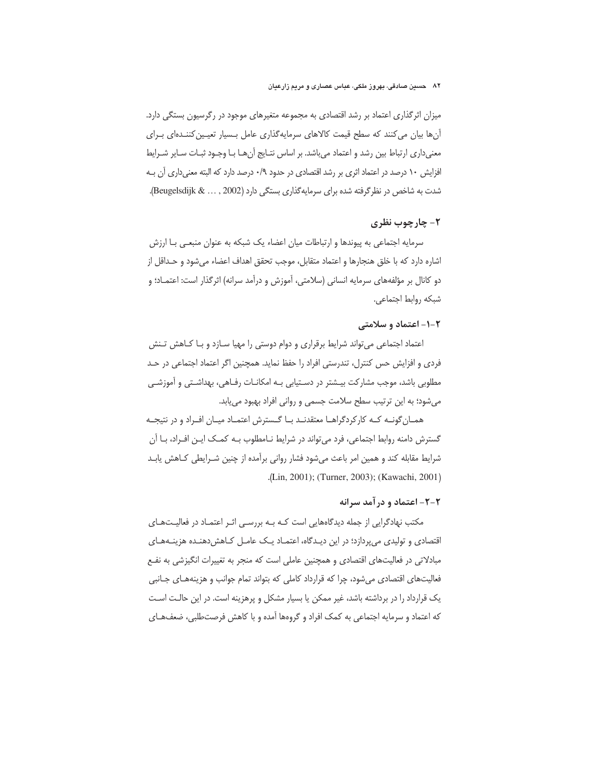میزان اثرگذاری اعتماد بر رشد اقتصادی به مجموعه متغیرهای موجود در رگرسیون بستگی دارد. آنها بیان می کنند که سطح قیمت کالاهای سرمایهگذاری عامل بـسیار تعیـین کننـدهای بـرای معنیداری ارتباط بین رشد و اعتماد میباشد. بر اساس نتـایج آنهـا بـا وجـود ثبـات سـایر شـرایط افزایش ۱۰ درصد در اعتماد اثری بر رشد اقتصادی در حدود ۰/۹ درصد دارد که البته معنیداری آن بـه شدت به شاخص در نظر گرفته شده برای سرمایه گذاری بستگی دارد (Beugelsdijk & ..., 2002).

## ۲- چارچوب نظری

سرمایه اجتماعی به پیوندها و ارتباطات میان اعضاء یک شبکه به عنوان منبعـی بـا ارزش اشاره دارد كه با خلق هنجارها و اعتماد متقابل، موجب تحقق اهداف اعضاء مى شود و حـداقل از دو کانال بر مؤلفههای سرمایه انسانی (سلامتی، آموزش و درآمد سرانه) اثرگذار است: اعتمـاد؛ و شبكه روابط اجتماعي.

## ۲-۱- اعتماد و سلامتی

اعتماد اجتماعی می تواند شرایط برقراری و دوام دوستی را مهیا سـازد و بـا کـاهش تـنش فردی و افزایش حس کنترل، تندرستی افراد را حفظ نماید. همچنین اگر اعتماد اجتماعی در حـد مطلوبی باشد، موجب مشارکت بیـشتر در دسـتیابی بـه امکانـات رفـاهی، بهداشـتی و آموزشـی می شود؛ به این ترتیب سطح سلامت جسمی و روانی افراد بهبود می یابد.

همـان گونــه كــه كاركردگراهــا معتقدنــد بــا گــسترش اعتمــاد ميــان افــراد و در نتيجــه گسترش دامنه روابط اجتماعی، فرد می تواند در شرایط نـامطلوب بـه کمـک ایـن افـراد، بـا آن شرایط مقابله کند و همین امر باعث میشود فشار روانی برآمده از چنین شـرایطی کـاهش یابـد .(Lin, 2001); (Turner, 2003); (Kawachi, 2001)

## ۲-۲- اعتماد و در آمد سرانه

مکتب نهادگرایی از جمله دیدگاههایی است کـه بـه بررسـم اثـر اعتمـاد در فعالیـتهـای اقتصادی و تولیدی می پردازد؛ در این دیـدگاه، اعتمـاد یـک عامـل کـاهش‹هنـده هزینـههـای مبادلاتی در فعالیتهای اقتصادی و همچنین عاملی است که منجر به تغییرات انگیزشی به نفـع فعالیتهای اقتصادی میشود، چرا که قرارداد کاملی که بتواند تمام جوانب و هزینههـای جـانبی یک قرارداد را در برداشته باشد، غیر ممکن یا بسیار مشکل و پرهزینه است. در این حالـت اسـت که اعتماد و سرمایه اجتماعی به کمک افراد و گروهها آمده و با کاهش فرصتطلبی، ضعفهـای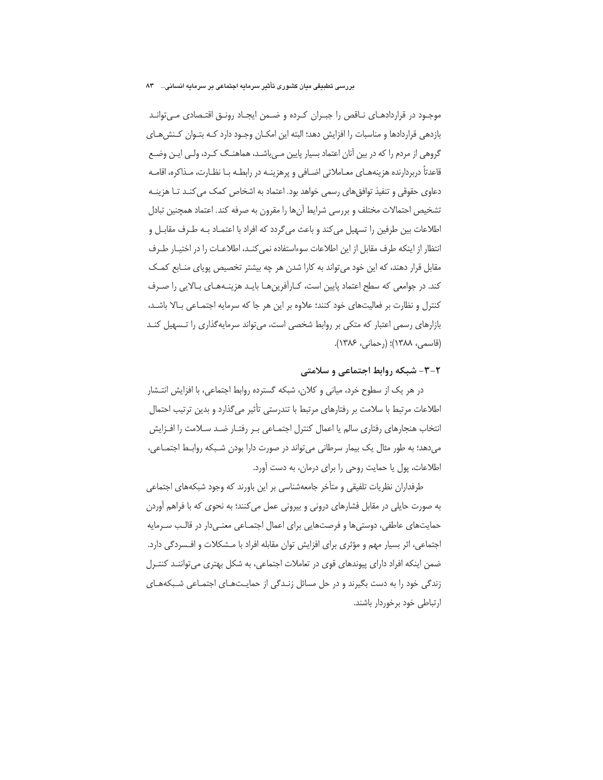#### بررسی تطبیقی میان کشوری تأثیر سرمایه اجتماعی بر سرمایه انسانی... ۸۳

موجـود در قراردادهـای نــاقص را جبــران كــرده و ضــمن ايجــاد رونــق اقتــصادی مــی توانــد بازدهی قراردادها و مناسبات را افزایش دهد؛ البته این امکــان وجـود دارد کــه بتــوان کــنش۱عــای گروهی از مردم را که در بین آنان اعتماد بسیار پایین مـیباشـد، هماهنـگ کـرد، ولـی ایـن وضـع قاعدتاً دربردارنده هزینههـای معـاملاتی اضـافی و پرهزینـه در رابطـه بـا نظـارت، مـذاکره، اقامـه دعاوی حقوقی و تنفیذ توافق های رسمی خواهد بود. اعتماد به اشخاص کمک می کنـد تـا هزینـه تشخیص احتمالات مختلف و بررسی شرایط أنها را مقرون به صرفه کند. اعتماد همچنین تبادل اطلاعات بین طرفین را تسهیل می کند و باعث میگردد که افراد با اعتمـاد بـه طـرف مقابـل و انتظار از اینکه طرف مقابل از این اطلاعات سوءاستفاده نمی کنـد، اطلاعـات را در اختیـار طـرف مقابل قرار دهند، که این خود می تواند به کارا شدن هر چه بیشتر تخصیص پویای منـابع کمـک كند. در جوامعي كه سطح اعتماد پايين است، كـارآفرين هـا بايـد هزينـههـاي بـالايي را صـرف کنترل و نظارت بر فعالیتهای خود کنند؛ علاوه بر این هر جا که سرمایه اجتمـاعی بـالا باشـد، بازارهای رسمی اعتبار که متکی بر روابط شخصی است، میتواند سرمایهگذاری را تـسهیل کنـد (قاسمی، ۱۳۸۸)؛ (رحمانی، ۱۳۸۶).

## ۲-۳- شبکه روابط اجتماعی و سلامتی

در هر یک از سطوح خرد، میانی و کلان، شبکه گسترده روابط اجتماعی، با افزایش انتـشار اطلاعات مرتبط با سلامت بر رفتارهای مرتبط با تندرستی تأثیر میگذارد و بدین ترتیب احتمال انتخاب هنجارهای رفتاری سالم یا اعمال کنترل اجتمـاعی بـر رفتـار ضـد سـلامت را افـزایش می دهد؛ به طور مثال یک بیمار سرطانی می تواند در صورت دارا بودن شبکه روابط اجتمـاعی، اطلاعات، یول یا حمایت روحی را برای درمان، به دست آورد.

طرفداران نظریات تلفیقی و متأخر جامعهشناسی بر این باورند که وجود شبکههای اجتماعی به صورت حایلی در مقابل فشارهای درونی و بیرونی عمل می کنند؛ به نحوی که با فراهم آوردن حمایتهای عاطفی، دوستیها و فرصتهایی برای اعمال اجتمـاعی معنـیدار در قالـب سـرمایه اجتماعی، اثر بسیار مهم و مؤثری برای افزایش توان مقابله افراد با مـشکلات و افـسردگی دارد. ضمن اینکه افراد دارای پیوندهای قوی در تعاملات اجتماعی، به شکل بهتری می تواننـد کنتـرل زندگی خود را به دست بگیرند و در حل مسائل زنـدگی از حمایـتهـای اجتمـاعی شـبکههـای ارتباطی خود برخوردار باشند.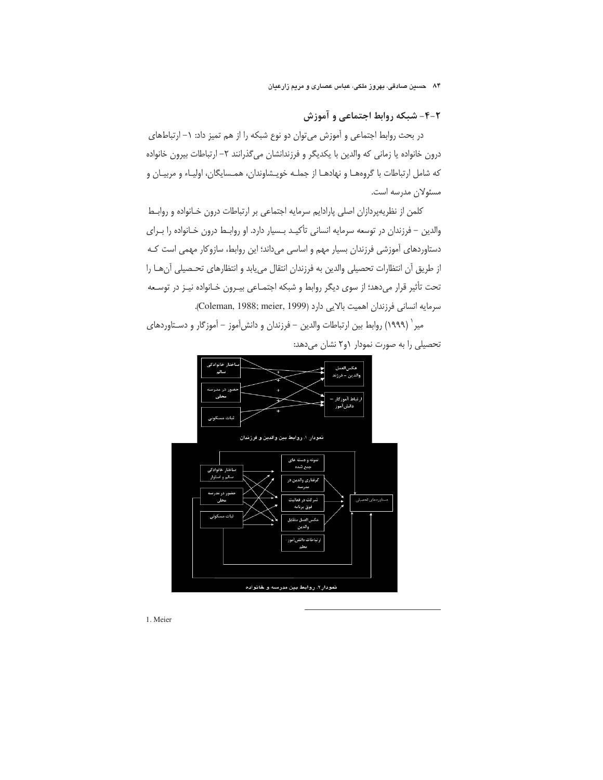۲-۴- شبکه روابط اجتماعی و آموزش

در بحث روابط اجتماعی و آموزش می توان دو نوع شبکه را از هم تمیز داد: ١- ارتباطهای درون خانواده یا زمانی که والدین با یکدیگر و فرزندانشان میگذرانند ۲– ارتباطات بیرون خانواده كه شامل ارتباطات با گروههـا و نهادهـا از جملـه خويـشاوندان، همـسايگان، اوليـاء و مربيـان و مسئولان مدرسه است.

كلمن از نظريهپردازان اصلي پارادايم سرمايه اجتماعي بر ارتباطات درون خـانواده و روابـط والدین – فرزندان در توسعه سرمایه انسانی تأکیـد بـسیار دارد. او روابـط درون خـانواده را بـرای دستاوردهای آموزشی فرزندان بسیار مهم و اساسی میداند؛ این روابط، سازوکار مهمی است کـه از طريق أن انتظارات تحصيلي والدين به فرزندان انتقال مي يابد و انتظارهاي تحـصيلي أنهـا را تحت تأثیر قرار میدهد؛ از سوی دیگر روابط و شبکه اجتمـاعی بیـرون خـانواده نیـز در توسـعه سرمايه انساني فرزندان اهميت بالايي دارد (Coleman, 1988; meier, 1999).

میر` (۱۹۹۹) روابط بین ارتباطات والدین – فرزندان و دانشآموز – آموزگار و دسـتاوردهای تحصیلی را به صورت نمودار ۶و۲ نشان میدهد:



1. Meier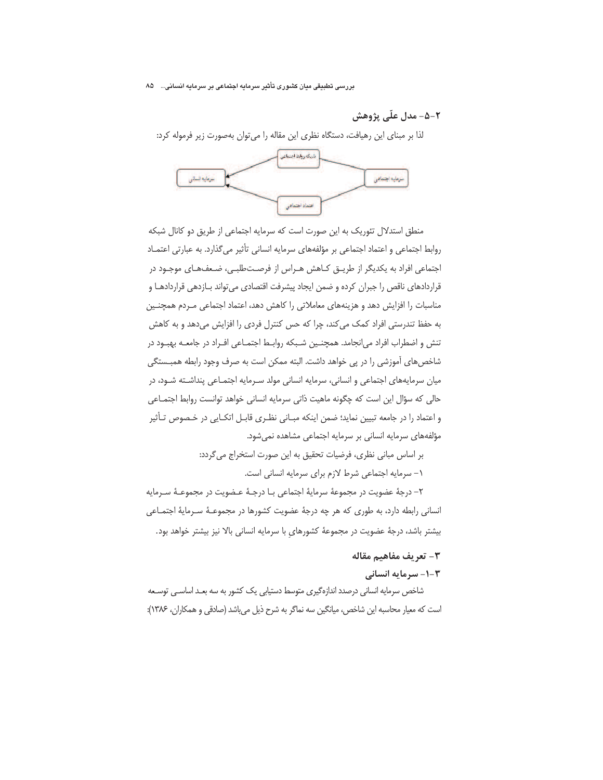بررسی تطبیقی میان کشوری تأثیر سرمایه اجتماعی بر سرمایه انسانی... ۸۵

## ۲-۵- مدل علّی پژوهش

لذا بر مبنای این رهیافت، دستگاه نظری این مقاله را می توان بهصورت زیر فرموله کرد:



منطق استدلال تئوریک به این صورت است که سرمایه اجتماعی از طریق دو کانال شبکه روابط اجتماعي و اعتماد اجتماعي بر مؤلفههاي سرمايه انساني تأثير مي گذارد. به عبارتي اعتمــاد اجتماعی افراد به یکدیگر از طریــق کــاهش هــراس از فرصــتـطلبــی، ضـعفـهــای موجــود در قراردادهای ناقص را جبران کرده و ضمن ایجاد پیشرفت اقتصادی میتواند بـازدهی قراردادهـا و مناسبات را افزایش دهد و هزینههای معاملاتی را کاهش دهد، اعتماد اجتماعی مـردم همچنـین به حفظ تندرستی افراد کمک می کند، چرا که حس کنترل فردی را افزایش میدهد و به کاهش تنش و اضطراب افراد می|نجامد. همچنـین شـبکه روابـط اجتمـاعی افـراد در جامعــه بهبــود در شاخصهای آموزشی را در پی خواهد داشت. البته ممکن است به صرف وجود رابطه همبــستگی میان سرمایههای اجتماعی و انسانی، سرمایه انسانی مولد سـرمایه اجتمـاعی پنداشـته شـود، در حالی که سؤال این است که چگونه ماهیت ذاتی سرمایه انسانی خواهد توانست روابط اجتمـاعی و اعتماد را در جامعه تبیین نماید؛ ضمن اینکه مبـانی نظـری قابـل اتکـایی در خـصوص تـأثیر مؤلفههای سرمایه انسانی بر سرمایه اجتماعی مشاهده نمی شود.

> بر اساس مبانی نظری، فرضیات تحقیق به این صورت استخراج میگردد: ١- سرمايه اجتماعي شرط لازم براي سرمايه انساني است.

٢– درجهٔ عضویت در مجموعهٔ سرمایهٔ اجتماعی بـا درجـهٔ عـضویت در مجموعـهٔ سـرمایه انسانی رابطه دارد، به طوری که هر چه درجهٔ عضویت کشورها در مجموعـهٔ سـرمایهٔ اجتمـاعی بیشتر باشد، درجهٔ عضویت در مجموعهٔ کشورهای با سرمایه انسانی بالا نیز بیشتر خواهد بود.

## ٣- تعريف مفاهيم مقاله

## **۳-۱- سرمایه انسانی**

شاخص سرمایه انسانی درصدد اندازهگیری متوسط دستیابی یک کشور به سه بعـد اساســی توســعه است که معیار محاسبه این شاخص، میانگین سه نماگر به شرح ذیل میباشد (صادقی و همکاران، ۱۳۸۶):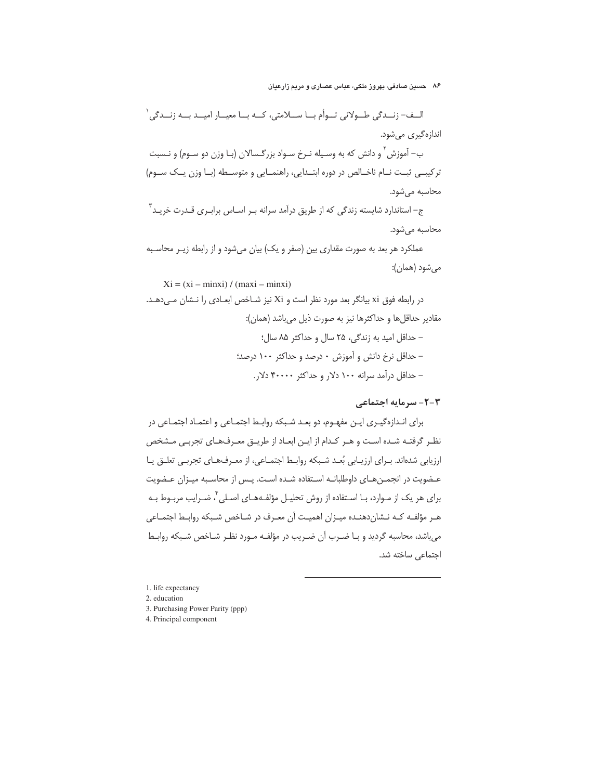الــف- زنــدگي طــولاني تــوأم بــا ســـلامتي، كــه بــا معيــار اميــد بـــه زنــدگي ` اندازهگیری میشود. ب– آموزش َ و دانش که به وسـیله نـرخ سـواد بزرگـسالان (بـا وزن دو سـوم) و نـسبت ترکیبے ثبت نام ناخالص در دورہ ابتـدایی، راهنمـایی و متوسـطه (بـا وزن یـک سـوم) محاسبه می شود.

ج– استاندارد شایسته زندگی که از طریق درآمد سرانه بـر اســاس برابــری قــدرت خریــد ّ محاسبه می شود.

عملکرد هر بعد به صورت مقداری بین (صفر و یک) بیان میشود و از رابطه زیـر محاسـبه می شود (همان):

 $Xi = (xi - minxi) / (maxi - minxi)$ 

در رابطه فوق xi بیانگر بعد مورد نظر است و Xi نیز شـاخص ابعـادی را نــشان مــ ردهــد. مقادير حداقلها و حداكثرها نيز به صورت ذيل مي باشد (همان): - حداقل امید به زندگی، ٢۵ سال و حداکثر ٨۵ سال: – حداقل نرخ دانش و آموزش ٠ درصد و حداكثر ١٠٠ درصد؛

- حداقل درآمد سرانه ۱۰۰ دلار و حداکثر ۴۰۰۰۰ دلار.

## ۲-۲- سرمایه احتماعی

برای انـدازهگیـری ایـن مفهـوم، دو بعـد شـبکه روابـط اجتمـاعی و اعتمـاد اجتمـاعی در نظر گرفتـه شـده اسـت و هـر كـدام از ايـن ابعـاد از طريـق معـرفهـاي تجربـي مـشخص ارزیابی شدهاند. بـرای ارزیـابی بُعـد شـبکه روابـط اجتمـاعی، از معـرفهـای تجربـی تعلـق یـا عـضویت در انجمـنهـای داوطلبانـه اسـتفاده شـده اسـت. پـس از محاسـبه میـزان عـضویت برای هر یک از مـوارد، بـا اسـتفاده از روش تحلیـل مؤلفـههـای اصـلی ٌ، ضـرایب مربـوط بـه هـر مؤلفـه کـه نـشان(دهنـده میـزان اهمیـت آن معـرف در شـاخص شـبکه روابـط اجتمـاعی می باشد، محاسبه گردید و بـا ضـرب آن ضـریب در مؤلفـه مـورد نظـر شـاخص شـبکه روابـط اجتماعی ساخته شد.

1. life expectancy

- 2. education
- 3. Purchasing Power Parity (ppp)
- 4. Principal component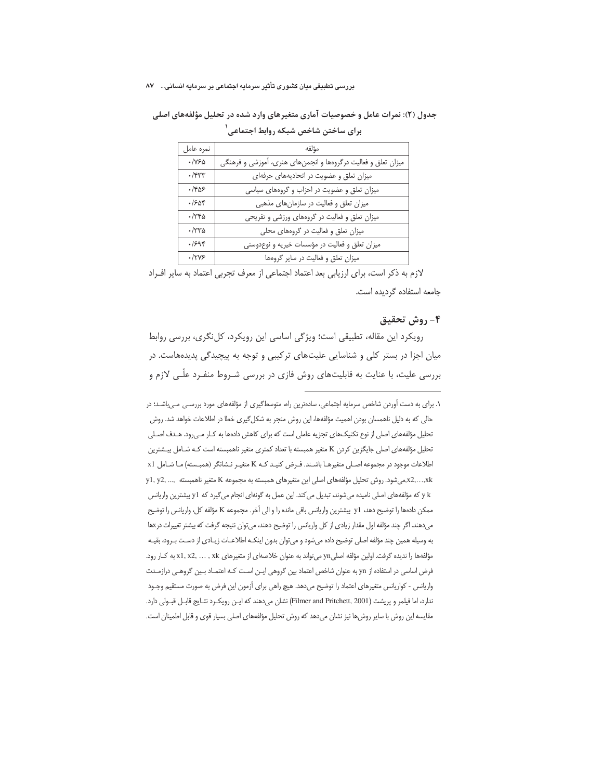| نمره عامل    | مؤلفه                                                         |
|--------------|---------------------------------------------------------------|
| $\cdot$ /Y۶۵ | میزان تعلق و فعالیت درگروهها و انجمنهای هنری، آموزشی و فرهنگی |
| $\cdot$ /۴۳۳ | میزان تعلق و عضویت در اتحادیههای حرفهای                       |
| ۱۴۵۶         | میزان تعلق و عضویت در احزاب و گروههای سیاسی                   |
| .1508        | میزان تعلق و فعالیت در سازمان های مذهبی                       |
| ۱۳۴۵.        | میزان تعلق و فعالیت در گروههای ورزشی و تفریحی                 |
| ۳۳۵-         | میزان تعلق و فعالیت در گروههای محلی                           |
| .999         | میزان تعلق و فعالیت در مؤسسات خیریه و نوعدوستی                |
| .17Y5        | میزان تعلق و فعالیت در سایر گروهها                            |

جدول (٢): نمرات عامل و خصوصیات آماری متغیرهای وارد شده در تحلیل مؤلفههای اصلی برای ساختن شاخص شبکه روابط اجتماعی <sup>۱</sup>

لازم به ذکر است، برای ارزیابی بعد اعتماد اجتماعی از معرف تجربی اعتماد به سایر افـراد جامعه استفاده گردیده است.

## ۴- روش تحقیق

رویکرد این مقاله، تطبیقی است؛ ویژگی اساسی این رویکرد، کل نگری، بررسی روابط میان اجزا در بستر کلی و شناسایی علیتهای ترکیبی و توجه به پیچیدگی پدیدههاست. در بررسی علیت، با عنایت به قابلیتهای روش فازی در بررسی شـروط منفـرد علّـی لازم و

١. برای به دست آوردن شاخص سرمایه اجتماعی، سادهترین راه، متوسط گیری از مؤلفههای مورد بررسـی مـیباشـد؛ در حالی که به دلیل ناهمسان بودن اهمیت مؤلفهها، این روش منجر به شکل گیری خطا در اطلاعات خواهد شد. روش تحلیل مؤلفههای اصلی از نوع تکنیکهای تجزیه عاملی است که برای کاهش دادهها به کـار مـی(ود. هـدف اصـلی تحلیل مؤلفههای اصلی جایگزین کردن K متغیر همبسته با تعداد کمتری متغیر ناهمبسته است کـه شـامل بیـشترین اطلاعات موجود در مجموعه اصلی متغیرهـا باشـند. فـرض كنيـد كـه K متغيـر نـشانگر (همبـسته) مـا شـامل x1 x2,...,xkمیشود. روش تحلیل مؤلفههای اصلی این متغیرهای همبسته به مجموعه K متغیر ناهمبسته ,... ,y1 y2 y k که مؤلفههای اصلی نامیده میشوند، تبدیل میکند. این عمل به گونهای انجام می گیرد که y1 بیشترین واریانس ممکن دادهها را توضیح دهد، y1 بیشترین واریانس باقی مانده را و الی آخر. مجموعه K مؤلفه کل، واریانس را توضیح میدهند. اگر چند مؤلفه اول مقدار زیادی از کل واریانس را توضیح دهند، می توان نتیجه گرفت که بیشتر تغییرات درxها به وسیله همین چند مؤلفه اصلی توضیح داده میشود و میتوان بدون اینکـه اطلاعـات زیـادی از دسـت بـرود، بقیـه مؤلفهها را ندیده گرفت. اولین مؤلفه اصلیyn میتواند به عنوان خلاصهای از متغیرهای x1, x2, ... , xk به کـار رود. فرض اساسی در استفاده از yn به عنوان شاخص اعتماد بین گروهی ایـن اسـت کـه اعتمـاد بـین گروهـی درازمـدت واریانس - کواریانس متغیرهای اعتماد را توضیح میدهد. هیچ راهی برای آزمون این فرض به صورت مستقیم وجـود ندارد، اما فيلمر و پريشت (Filmer and Pritchett, 2001) نشان مىدهند كه ايـن رويكـرد نتـايج قابـل قبـولى دارد. مقایسه این روش با سایر روش ها نیز نشان میدهد که روش تحلیل مؤلفههای اصلی بسیار قوی و قابل اطمینان است.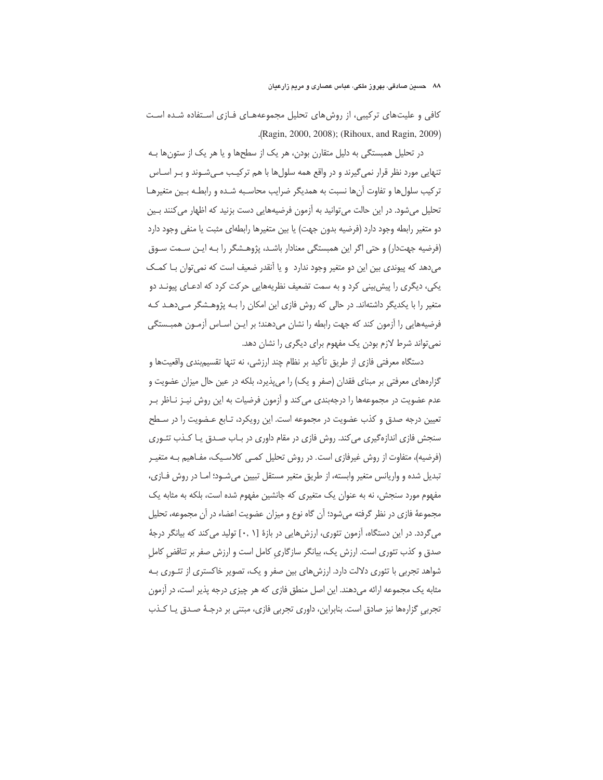کافی و علیتهای ترکیبی، از روشهای تحلیل مجموعههـای فـازی اسـتفاده شـده اسـت .(Ragin, 2000, 2008); (Rihoux, and Ragin, 2009).

در تحلیل همبستگی به دلیل متقارن بودن، هر یک از سطحها و یا هر یک از ستونها بـه تنهایی مورد نظر قرار نمیگیرند و در واقع همه سلولها با هم ترکیب مـیشـوند و بـر اسـاس تركيب سلولها و تفاوت آنها نسبت به همديگر ضرايب محاسـبه شـده و رابطـه بـين متغيرهـا تحلیل میشود. در این حالت می توانید به آزمون فرضیههایی دست بزنید که اظهار می کنند بـین دو متغیر رابطه وجود دارد (فرضیه بدون جهت) یا بین متغیرها رابطهای مثبت یا منفی وجود دارد (فرضیه جهتدار) و حتی اگر این همبستگی معنادار باشـد، پژوهـشگر را بـه ایـن سـمت سـوق می دهد که پیوندی بین این دو متغیر وجود ندارد و یا اَنقدر ضعیف است که نمی توان بـا کمـک یکی، دیگری را پیش بینی کرد و به سمت تضعیف نظریههایی حرکت کرد که ادعـای پیونـد دو متغیر را با یکدیگر داشتهاند. در حالی که روش فازی این امکان را بـه پژوهـشگر مـی‹هـد کـه فرضیههایی را آزمون کند که جهت رابطه را نشان میدهند؛ بر ایـن اسـاس آزمـون همبــستگی نمی تواند شرط لازم بودن یک مفهوم برای دیگری را نشان دهد.

دستگاه معرفتی فازی از طریق تأکید بر نظام چند ارزشی، نه تنها تقسیمبندی واقعیتها و گزارههای معرفتی بر مبنای فقدان (صفر و یک) را میپذیرد، بلکه در عین حال میزان عضویت و عدم عضویت در مجموعهها را درجهبندی می کند و آزمون فرضیات به این روش نیـز نــاظر بــر تعیین درجه صدق و کذب عضویت در مجموعه است. این رویکرد، تـابع عـضویت را در سـطح سنجش فازی اندازهگیری می کند. روش فازی در مقام داوری در بـاب صـدق یـا کـذب تئـوری (فرضیه)، متفاوت از روش غیرفازی است. در روش تحلیل کمـی کلاسـیک، مفـاهیم بـه متغیـر تبدیل شده و واریانس متغیر وابسته، از طریق متغیر مستقل تبیین میشـود؛ امـا در روش فـازی، مفهوم مورد سنجش، نه به عنوان یک متغیری که جانشین مفهوم شده است، بلکه به مثابه یک مجموعهٔ فازی در نظر گرفته میشود؛ أن گاه نوع و میزان عضویت اعضاء در أن مجموعه، تحلیل می گردد. در این دستگاه، اُزمون تئوری، ارزشهایی در بازهٔ [۰٫ ۱] تولید می کند که بیانگر درجهٔ صدق و کذب تئوری است. ارزش یک، بیانگر سازگاری کامل است و ارزش صفر بر تناقض کامل شواهد تجربی با تئوری دلالت دارد. ارزش های بین صفر و یک، تصویر خاکستری از تئــوری بــه مثابه یک مجموعه ارائه میدهند. این اصل منطق فازی که هر چیزی درجه پذیر است، در آزمون تجربی گزارهها نیز صادق است. بنابراین، داوری تجربی فازی، مبتنی بر درجـهٔ صـدق یـا کـذب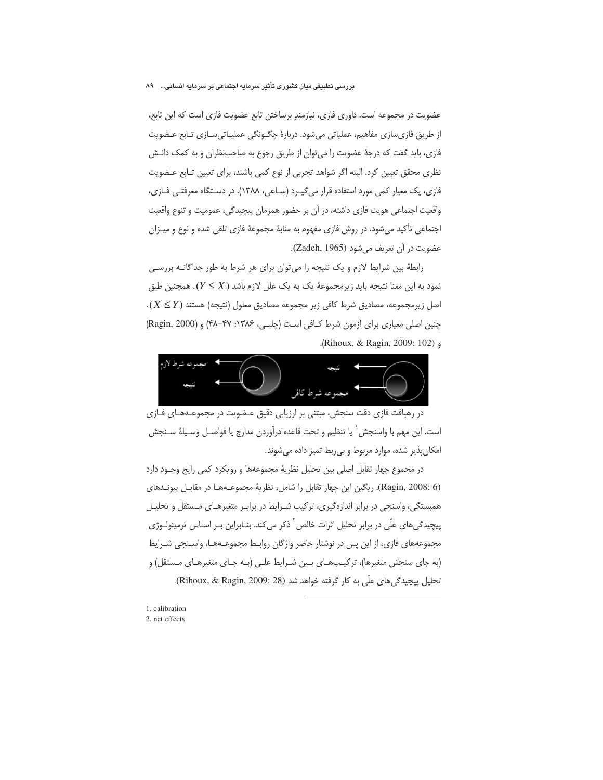#### بررسی تطبیقی میان کشوری تأثیر سرمایه اجتماعی بر سرمایه انسانی... ۸۹

عضویت در مجموعه است. داوری فازی، نیازمند برساختن تابع عضویت فازی است که این تابع، از طریق فازی سازی مفاهیم، عملیاتی می شود. دربارهٔ چگـونگی عملیـاتی سـازی تـابع عـضویت فازی، باید گفت که درجهٔ عضویت را می توان از طریق رجوع به صاحبنظران و به کمک دانـش نظری محقق تعیین کرد. البته اگر شواهد تجربی از نوع کمی باشند، برای تعیین تـابع عـضویت فازی، یک معیار کمی مورد استفاده قرار می گیـرد (سـاعی، ۱۳۸۸). در دسـتگاه معرفتـی فـازی، واقعیت اجتماعی هویت فازی داشته، در آن بر حضور همزمان پیچیدگی، عمومیت و تنوع واقعیت اجتماعی تأکید میشود. در روش فازی مفهوم به مثابهٔ مجموعهٔ فازی تلقی شده و نوع و میــزان عضويت در أن تعريف مي شود (Zadeh, 1965).

رابطهٔ بین شرایط لازم و یک نتیجه را می توان برای هر شرط به طور جداگانـه بررسـی نمود به این معنا نتیجه باید زیرمجموعهٔ یک به یک علل لازم باشد ( $Y \leq X$ ). همچنین طبق  $(X \leq Y)$  اصل زیرمجموعه، مصادیق شرط کافی زیر مجموعه مصادیق معلول (نتیجه) هستند چنین اصلی معیاری برای آزمون شرط کـافی اسـت (چلبـی، ۱۳۸۶: ۴۷–۴۸) و (Ragin, 2000) Alhoux, & Ragin, 2009: 102).



در رهیافت فازی دقت سنجش، مبتنی بر ارزیابی دقیق عـضویت در مجموعـههـای فــازی است. اين مهم با واسنجش ` يا تنظيم و تحت قاعده درآوردن مدارج يا فواصـل وسـيلهٔ سـنجش امکان پذیر شده، موارد مربوط و بی ربط تمیز داده می شوند.

در مجموع چهار تقابل اصلی بین تحلیل نظریهٔ مجموعهها و رویکرد کمی رایج وجـود دارد (Ragin, 2008: 6). ريگين اين چهار تقابل را شامل، نظريهٔ مجموعـههـا در مقابـل پيونـدهاى همبستگی، واسنجی در برابر اندازهگیری، ترکیب شـرایط در برابـر متغیرهـای مـستقل و تحلیـل پیچیدگی های علّی در برابر تحلیل اثرات خالص <sup>۲</sup> ذکر می کند. بنـابراین بـر اسـاس ترمینولـوژی مجموعههای فازی، از این پس در نوشتار حاضر واژگان روابـط مجموعـههـا، واسـنجی شـرایط (به جای سنجش متغیرها)، ترکیبهای بین شرایط علـی (بـه جـای متغیرهـای مـستقل) و تحلیل پیچیدگی های علّی به کار گرفته خواهد شد (Rihoux, & Ragin, 2009: 28).

1. calibration 2. net effects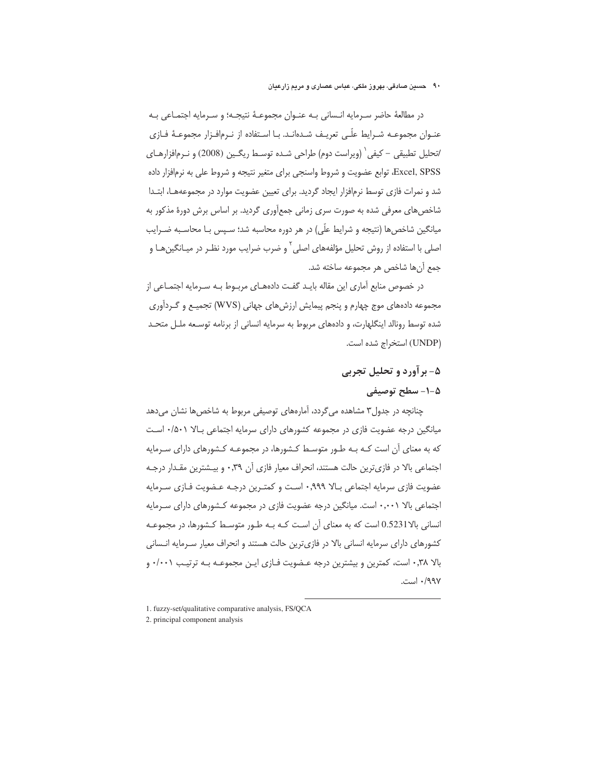در مطالعهٔ حاضر سـرمایه انـسانی بـه عنـوان مجموعـهٔ نتیجـه؛ و سـرمایه اجتمـاعی بـه عنـوان مجموعــه شــرايط علّـى تعريــف شــدهانــد. بــا اســتفاده از نــرمافــزار مجموعــهٔ فــازى /تحليل تطبيقي – كيفي` (ويراست دوم) طراحي شـده توسـط ريگـين (2008) و نـرمافزارهـاي Excel, SPSS، توابع عضويت و شروط واسنجى براى متغير نتيجه و شروط على به نرمافزار داده شد و نمرات فازی توسط نرمافزار ایجاد گردید. برای تعیین عضویت موارد در مجموعههـا، ابتـدا شاخصهای معرفی شده به صورت سری زمانی جمعأوری گردید. بر اساس برش دورهٔ مذکور به میانگین شاخصها (نتیجه و شرایط علّی) در هر دوره محاسبه شد؛ سـپس بـا محاسـبه ضـرایب اصلی با استفاده از روش تحلیل مؤلفههای اصلی<sup>۲</sup> و ضرب ضرایب مورد نظـر در میــانگینِهــا و جمع أنها شاخص هر مجموعه ساخته شد.

در خصوص منابع آماری این مقاله بایـد گفـت دادههـای مربــوط بــه ســرمایه اجتمــاعی از مجموعه دادههای موج چهارم و پنجم پیمایش ارزشهای جهانی (WVS) تجمیـع و گــردآوری شده توسط رونالد اینگلهارت، و دادههای مربوط به سرمایه انسانی از برنامه توسـعه ملــل متحـد (UNDP) استخراج شده است.

## ۵- بر آورد و تحليل تجربي ۵-۱- سطح توصيفي

چنانچه در جدول۳ مشاهده میگردد، آمارههای توصیفی مربوط به شاخصها نشان میدهد میانگین درجه عضویت فازی در مجموعه کشورهای دارای سرمایه اجتماعی بالا ۰/۵۰۱ است که به معنای آن است کـه بـه طـور متوسـط کـشورها، در مجموعـه کـشورهای دارای سـرمایه اجتماعی بالا در فازی ترین حالت هستند، انحراف معیار فازی آن ۰٫۳۹ و بیـشترین مقـدار درجـه عضويت فازي سرمايه اجتماعي بـالا ٩٩٩.• اسـت و كمتـرين درجـه عـضويت فـازي سـرمايه اجتماعی بالا ۰٫۰۰۱ است. میانگین درجه عضویت فازی در مجموعه کـشورهای دارای سـرمایه انسانی بالا0.5231 است که به معنای آن است کـه بـه طـور متوسـط کـشورها، در مجموعـه كشورهاي داراي سرمايه انساني بالا در فازي ترين حالت هستند و انحراف معيار سـرمايه انـساني بالا ۰٫۳۸ است، کمترین و بیشترین درجه عـضویت فـازی ایـن مجموعـه بـه ترتیـب ۰/۰۰۱ و ۹۹۷/۰ است.

-

<sup>1.</sup> fuzzy-set/qualitative comparative analysis, FS/QCA

<sup>2.</sup> principal component analysis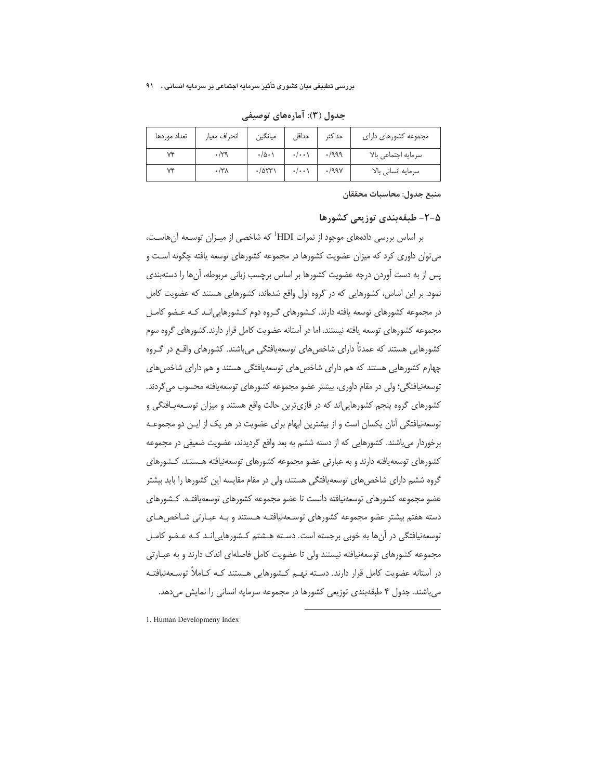| تعداد موردها | انحراف معيار | ميانگين                  | حداقا              | حداكثر             | مجموعه كشورهاى داراى |
|--------------|--------------|--------------------------|--------------------|--------------------|----------------------|
|              |              | $\cdot/\Delta$ $\cdot$ \ | $\cdot/\cdot\cdot$ | $\cdot$ /999       | سرمايه اجتماعي بالا  |
|              | $\cdot$ /۳۸  | $\cdot$ /973)            | $\cdot/\cdot\cdot$ | $\cdot$ /99 $\vee$ | سرمايه انسانى بالا   |

جدول (۳): آمارههای توصیفی

منبع جدول: محاسبات محققان

#### ۵-۲- طبقهبندی توزیعی کشورها

بر اساس بررسی دادههای موجود از نمرات HDI<sup>1</sup> که شاخصی از میـزان توسـعه آنهاسـت، می توان داوری کرد که میزان عضویت کشورها در مجموعه کشورهای توسعه یافته چگونه اسـت و یس از به دست آوردن درجه عضویت کشورها بر اساس برچسب زبانی مربوطه، آنها را دستهبندی نمود. بر این اساس، کشورهایی که در گروه اول واقع شدهاند، کشورهایی هستند که عضویت کامل در مجموعه کشورهای توسعه یافته دارند. کـشورهای گـروه دوم کـشورهایی|نـد کـه عـضو کامـل مجموعه کشورهای توسعه یافته نیستند، اما در آستانه عضویت کامل قرار دارند.کشورهای گروه سوم کشورهایی هستند که عمدتاً دارای شاخصهای توسعهیافتگی میباشند. کشورهای واقـع در گـروه چهارم کشورهایی هستند که هم دارای شاخصهای توسعهپافتگی هستند و هم دارای شاخصهای توسعهنيافتگي؛ ولي در مقام داوري، بيشتر عضو مجموعه كشورهاي توسعهيافته محسوب مي گردند. کشورهای گروه پنجم کشورهایی|ند که در فازیترین حالت واقع هستند و میزان توسـعهیـافتگی و توسعه نیافتگی آنان یکسان است و از بیشترین ابهام برای عضویت در هر یک از ایـن دو مجموعـه برخوردار می باشند. کشورهایی که از دسته ششم به بعد واقع گردیدند، عضویت ضعیفی در مجموعه کشورهای توسعهیافته دارند و به عبارتی عضو مجموعه کشورهای توسعهنیافته هـستند، کـشورهای گروه ششم دارای شاخصهای توسعهیافتگی هستند، ولی در مقام مقایسه این کشورها را باید بیشتر عضو مجموعه كشورهاى توسعهنيافته دانست تا عضو مجموعه كشورهاى توسعهيافتـه. كـشورهاى دسته هفتم بیشتر عضو مجموعه کشورهای توسـعهنیافتـه هـستند و بـه عبـارتی شـاخص هـای توسعهنیافتگی در آنها به خوبی برجسته است. دسته هـشتم کـشورهایی انـد کـه عـضو کامـل مجموعه کشورهای توسعهنیافته نیستند ولی تا عضویت کامل فاصلهای اندک دارند و به عبـارتی در أستانه عضويت كامل قرار دارند. دسـته نهــم كـشورهايي هــستند كــه كــاملأ توســعهنيافتــه می باشند. جدول ۴ طبقهبندی توزیعی کشورها در مجموعه سرمایه انسانی را نمایش می دهد.

-

1. Human Developmeny Index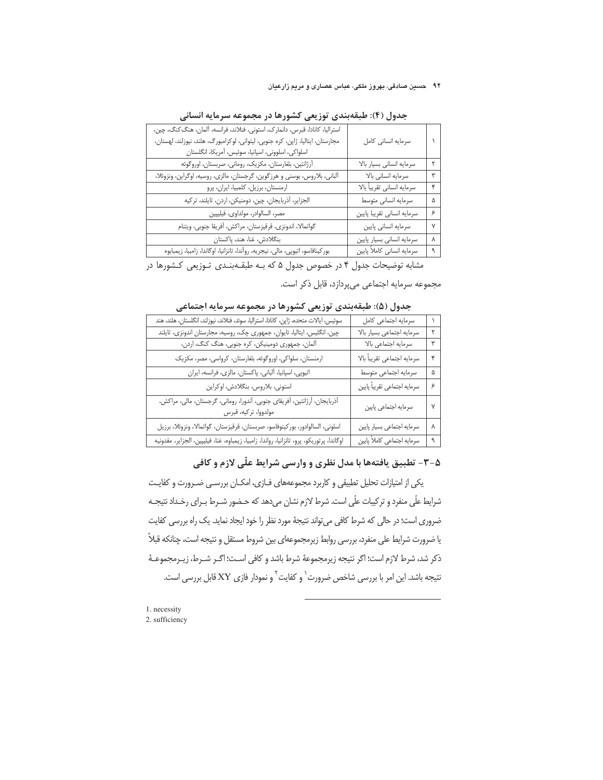| استراليا، كانادا، قبرس، دانمارك، استونى، فنلاند، فرانسه، آلمان، هنگ كنگ، چين،<br>مجارستان، ایتالیا، ژاپن، کره جنوبی، لیتوانی، لوکزامبورگ، هلند، نیوزلند، لهستان،<br>اسلواكي، اسلووني، اسپانيا، سوئيس، أمريكا، انگلستان                                                                                       | سرمايه انسانى كامل         |   |
|--------------------------------------------------------------------------------------------------------------------------------------------------------------------------------------------------------------------------------------------------------------------------------------------------------------|----------------------------|---|
| أرژانتين، بلغارستان، مكزيك، روماني، صربستان، اوروگوئه                                                                                                                                                                                                                                                        | سرمايه انسانى بسيار بالا   | ۲ |
| ألباني، بلاروس، بوسني و هرزگوين، گرجستان، مالزي، روسيه، اوگراين، ونزوئلا،                                                                                                                                                                                                                                    | سرمايه انسانى بالا         | ٣ |
| ارمنستان، برزیل، کلمبیا، ایران، پرو                                                                                                                                                                                                                                                                          | سرمايه انسانى تقريباً بالا | ۴ |
| الجزاير، آذربايجان، چين، دومنيكن، اردن، تايلند، تركيه                                                                                                                                                                                                                                                        | سرمايه انسانى متوسط        | ۵ |
| مصر، السالوادر، مولداوى، فيليپين                                                                                                                                                                                                                                                                             | سرمايه انسانى تقريبا پايين | ۶ |
| گواتمالا، اندونزي، قرقيزستان، مراكش، أفريقا جنوبي، ويتنام                                                                                                                                                                                                                                                    | سرمايه انسانى پايين        | ٧ |
| بنگلادش، غنا، هند، پاکستان                                                                                                                                                                                                                                                                                   | سرمايه انسانى بسيار پايين  | γ |
| بور كينافاسو، اتيوپى، مالى، نيجريه، روآندا، تانزانيا، اوگاندا، زامبيا، زيمبابوه                                                                                                                                                                                                                              | سرمايه انسانى كاملأ پايين  | ٩ |
| $\mathcal{L}$ , and it is a set of $\mathcal{L}$ and $\mathcal{L}$ and $\mathcal{L}$ and $\mathcal{L}$ and $\mathcal{L}$ and $\mathcal{L}$ and $\mathcal{L}$ and $\mathcal{L}$ and $\mathcal{L}$ and $\mathcal{L}$ and $\mathcal{L}$ and $\mathcal{L}$ and $\mathcal{L}$ and $\mathcal{L}$ and $\mathcal{L}$ | the safe of models         |   |

جدول (۴): طبقهبندی توزیعی کشورها در مجموعه سرمایه انسانی

مشابه توضیحات جدول ۴ در خصوص جدول ۵ که بـه طبقـهبنـدی تـوزیعی کـشورها در

مجموعه سرمايه اجتماعي مي پردازد، قابل ذكر است.

| سوئيس، ايالات متحده، ژاپن، كانادا، استراليا، سوئد، فنلاند، نيوزلند، انگلستان، هلند، هند           | سرمايه اجتماعى كامل          |   |
|---------------------------------------------------------------------------------------------------|------------------------------|---|
| چین، انگلیس، ایتالیا، تایوان، جمهوری چک، روسیه، مجارستان اندونزی، تایلند                          | سرمايه اجتماعي بسيار بالا    |   |
| آلمان، جمهوری دومینیکن، کره جنوبی، هنگ کنگ، اردن،                                                 | سرمايه اجتماعي بالا          |   |
| ارمنستان، سلواكي، اوروگوئه، بلغارستان، كرواسي، مصر، مكزيك                                         | سرمايه اجتماعي تقريباً بالا  |   |
| اتيوپى، اسپانيا، ألبانى، پاكستان، مالزى، فرانسه، ايران                                            | سرمايه اجتماعى متوسط         | ۵ |
| استونى، بلاروس، بنگلادش، اوكراين                                                                  | سرمايه اجتماعي تقريباً پايين | ۶ |
| أذربايجان، أرژانتين، أفريقاي جنوبي، أندورا، روماني، گرجستان، مالي، مراكش،<br>مولدووا، تركيه، قبرس | سرمايه اجتماعي پايين         |   |
| اسلوني، السالوادور، بوركينوفاسو، صربستان، قرقيزستان، گواتمالا، ونزوئلا، برزيل                     | سرمايه اجتماعي بسيار پايين   |   |
| اوگاندا، پرتوريكو، پرو، تانزانيا، رواندا، زامبيا، زيمباوه، غنا، فيليپين، الجزاير، مقدونيه         | سرمايه اجتماعي كاملأ پايين   |   |

جدول (۵): طبقهبندی توزیعی کشورها در مجموعه سرمایه اجتماعی

## ۵-۳- تطبیق یافتهها با مدل نظری و وارسی شرایط علّی لازم و کافی

یکی از امتیازات تحلیل تطبیقی و کاربرد مجموعههای فـازی، امکـان بررسـی ضـرورت و کفایـت شرایط علّی منفرد و ترکیبات علّی است. شرط لازم نشان میدهد که حـضور شــرط بــرای رخــداد نتیجــه ضروری است؛ در حالی که شرط کافی می تواند نتیجهٔ مورد نظر را خود ایجاد نماید. یک راه بررسی کفایت یا ضرورت شرایط علی منفرد، بررسی روابط زیرمجموعهای بین شروط مستقل و نتیجه است، چنانکه قبلاً ذكر شد، شرط لازم است؛ اگر نتيجه زيرمجموعهٔ شرط باشد و كافي اسـت؛ اگـر شـرط، زيـرمجموعـهٔ نتيجه باشد. اين امر با بررسي شاخص ضرورت<sup>\</sup> و كفايت<sup>٢</sup> و نمودار فازى XY قابل بررسي است.

<sup>1.</sup> necessity 2. sufficiency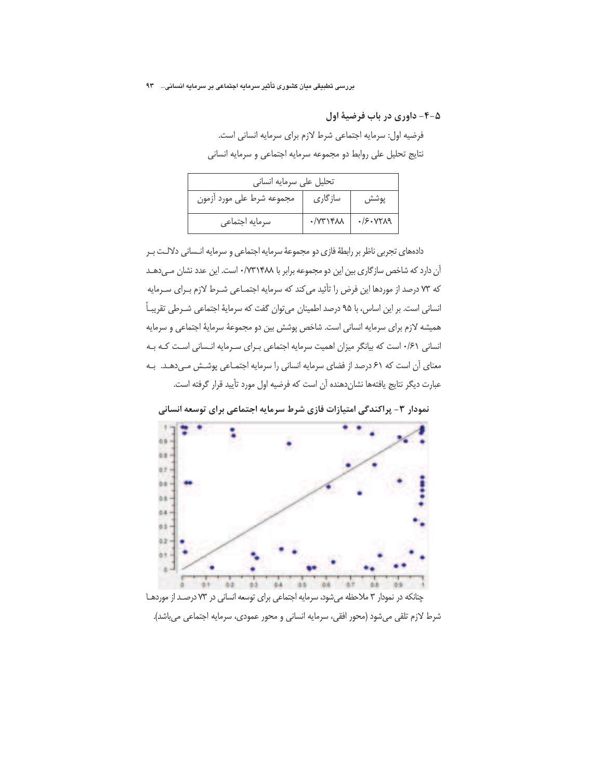۵-۴- داوری در باب فرضیهٔ اول

فرضيه اول: سرمايه اجتماعي شرط لازم براي سرمايه انساني است. نتايج تحليل على روابط دو مجموعه سرمايه اجتماعي و سرمايه انساني

| تحلیل علی سرمایه انسانی   |                          |                         |  |
|---------------------------|--------------------------|-------------------------|--|
| مجموعه شرط على مورد أزمون | سازگاری                  | پوشش                    |  |
| سرمايه اجتماعي            | $\cdot$ / $\gamma$ ۳۱۴۸۸ | $\cdot$ /S $\cdot$ YYA9 |  |

دادههای تجربی ناظر بر رابطهٔ فازی دو مجموعهٔ سرمایه اجتماعی و سرمایه انـسانی دلالـت بـر آن دارد که شاخص سازگاری بین این دو مجموعه برابر با ۰/۷۳۱۴۸۸ است. این عدد نشان مےدهـد كه ٧٣ درصد از موردها اين فرض را تأئيد مي كند كه سرمايه اجتمـاعي شـرط لازم بـراي سـرمايه انسانی است. بر این اساس، با ۹۵ درصد اطمینان می توان گفت که سرمایهٔ اجتماعی شــرطی تقریبـاً هميشه لازم براي سرمايه انساني است. شاخص پوشش بين دو مجموعهٔ سرمايهٔ اجتماعي و سرمايه انسانی ۶۱/۰ است که بیانگر میزان اهمیت سرمایه اجتماعی برای سرمایه انسانی است که به معنای آن است که ۶۱ درصد از فضای سرمایه انسانی را سرمایه اجتمـاعی پوشـش مـی دهـد. بـه عبارت دیگر نتایج یافتهها نشانِدهنده آن است که فرضیه اول مورد تأیید قرار گرفته است.



نمودار ۳- پراکندگی امتیازات فازی شرط سرمایه اجتماعی برای توسعه انسانی

شرط لازم تلقى مىشود (محور افقى، سرمايه انسانى و محور عمودى، سرمايه اجتماعى مىباشد).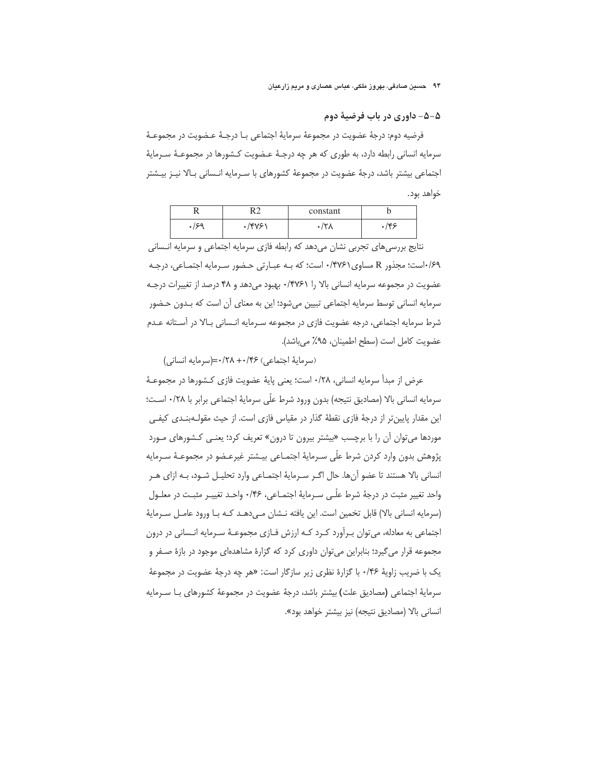۵–۵– داوری در باب فرضیهٔ دوم

فرضيه دوم: درجهٔ عضويت در مجموعهٔ سرمايهٔ اجتماعي بـا درجـهٔ عـضويت در مجموعـهٔ سرمایه انسانی رابطه دارد، به طوری که هر چه درجـهٔ عـضویت کـشورها در مجموعـهٔ سـرمایهٔ اجتماعی بیشتر باشد، درجهٔ عضویت در مجموعهٔ کشورهای با سـرمایه انـسانی بـالا نیـز بیـشتر خواهد بود.

|      | $\mathsf{R}^{\,\gamma}$<br>∽ | constant |     |
|------|------------------------------|----------|-----|
| ۵ء/۰ | 14781                        | ٬۲۸      | ۴۶/ |

نتايج بررسي هاي تجربي نشان مي دهد كه رابطه فازي سرمايه اجتماعي و سرمايه انـساني ۶۹/است؛ مجذور R مساوى ۰/۴۷۶۱ است؛ كه بـه عبـارتي حـضور سـرمايه اجتمـاعي، درجـه عضويت در مجموعه سرمايه انساني بالا را ۰/۴۷۶۱ بهبود ميدهد و ۴۸ درصد از تغييرات درجـه سرمايه انساني توسط سرمايه اجتماعي تبيين ميشود؛ اين به معناي آن است كه بـدون حـضور شرط سرمایه اجتماعی، درجه عضویت فازی در مجموعه سـرمایه انـسانی بـالا در آسـتانه عـدم عضويت كامل است (سطح اطمينان، ٩۵٪ مي باشد).

(سرماية اجتماعي) ۰/۲۸+۰/۴۶=(سرمايه انساني)

عرض از مبدأ سرمايه انساني، ١/٢٨- است؛ يعني ياية عضويت فازي كـشورها در مجموعــة سرمايه انساني بالا (مصاديق نتيجه) بدون ورود شرط علَّى سرمايةَ اجتماعي برابر با ٢٨/٠ اسـت؛ این مقدار پایین تر از درجهٔ فازی نقطهٔ گذار در مقیاس فازی است. از حیث مقولـهبنـدی کیفـی موردها می توان آن را با برچسب «بیشتر بیرون تا درون» تعریف کرد؛ یعنـی کـشورهای مـورد پژوهش بدون وارد كردن شرط علَّى سـرمايهٔ اجتمــاعي بيــشتر غيرعــضو در مجموعــهٔ ســرمايه انسانی بالا هستند تا عضو آنها. حال اگـر سـرمایهٔ اجتمـاعی وارد تحلیـل شـود، بـه ازای هـر واحد تغییر مثبت در درجهٔ شرط علّـی سـرمایهٔ اجتمـاعی، ۱۴۶۰ واحـد تغییـر مثبـت در معلـول (سرمايه انساني بالا) قابل تخمين است. اين يافته نـشان مـى‹هـد كـه بـا ورود عامـل سـرمايهٔ اجتماعی به معادله، میتوان بـرأورد کـرد کـه ارزش فـازی مجموعـهٔ سـرمایه انـسانی در درون مجموعه قرار میگیرد؛ بنابراین میتوان داوری کرد که گزارهٔ مشاهدهای موجود در بازهٔ صـفر و یک با ضریب زاویهٔ ۰/۴۶ با گزارهٔ نظری زیر سازگار است: «هر چه درجهٔ عضویت در مجموعهٔ سرمايهٔ اجتماعي (مصاديق علت) بيشتر باشد، درجهٔ عضويت در مجموعهٔ كشورهاى بـا سـرمايه انسانی بالا (مصادیق نتیجه) نیز بیشتر خواهد بود».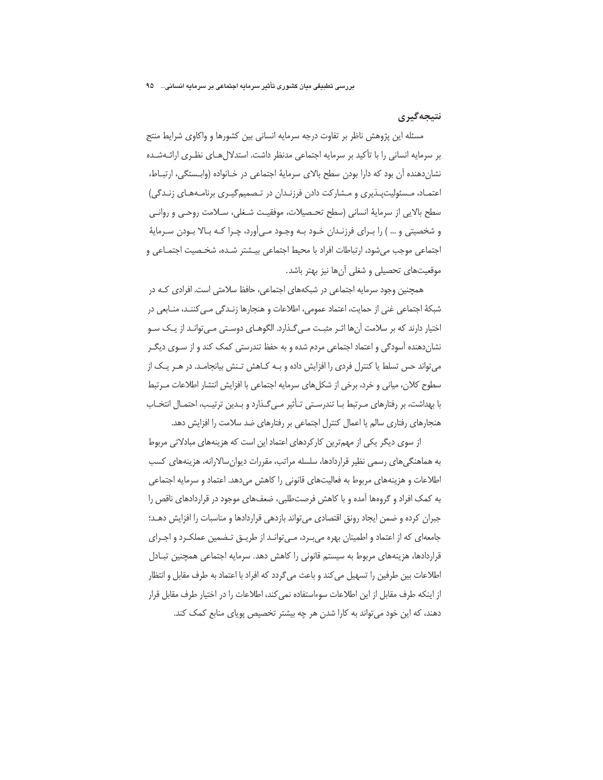## نتبجه گیری

مسئله این پژوهش ناظر بر تفاوت درجه سرمایه انسانی بین کشورها و واکاوی شرایط منتج بر سرمایه انسانی را با تأکید بر سرمایه اجتماعی مدنظر داشت. استدلال هـای نظـری ارائـهشـده نشان دهنده آن بود که دارا بودن سطح بالای سرمایهٔ اجتماعی در خـانواده (وابـستگی، ارتبـاط، اعتمـاد، مـسئوليتپـذيري و مـشاركت دادن فرزنـدان در تـصميمگيـري برنامـههـاي زنـدگي) سطح بالايي از سرمايهٔ انساني (سطح تحـصيلات، موفقيـت شـغلي، سـلامت روحـي و روانـي و شخصیتی و … ) را بـرای فرزنـدان خـود بـه وجـود مـیآورد، چـرا کـه بـالا بـودن سـرمایهٔ اجتماعی موجب میشود، ارتباطات افراد با محیط اجتماعی بیـشتر شـده، شخـصیت اجتمـاعی و موقعیتهای تحصیلی و شغلی آنها نیز بهتر باشد.

همچنین وجود سرمایه اجتماعی در شبکههای اجتماعی، حافظ سلامتی است. افرادی کـه در شبكهٔ اجتماعي غني از حمايت، اعتماد عمومي، اطلاعات و هنجارها زنـدگي مـي كننـد، منـابعي در اختیار دارند که بر سلامت آنها اثـر مثبـت مـی6ـذارد. الگوهـای دوسـتی مـی توانـد از یـک سـو نشان دهنده آسودگی و اعتماد اجتماعی مردم شده و به حفظ تندرستی کمک کند و از سـوی دیگـر می تواند حس تسلط یا کنترل فردی را افزایش داده و بـه کـاهش تـنش بیانجامـد. در هـر یـک از سطوح كلان، مياني و خرد، برخي از شكلهاي سرمايه اجتماعي با افزايش انتشار اطلاعات مـرتبط با بهداشت، بر رفتارهای مـرتبط بـا تندرسـتی تـأثیر مـیگـذارد و بـدین ترتیـب، احتمـال انتخـاب هنجارهای رفتاری سالم یا اعمال کنترل اجتماعی بر رفتارهای ضد سلامت را افزایش دهد.

از سوی دیگر یکی از مهمترین کارکردهای اعتماد این است که هزینههای مبادلاتی مربوط به هماهنگیهای رسمی نظیر قراردادها، سلسله مراتب، مقررات دیوان سالارانه، هزینههای کسب اطلاعات و هزینههای مربوط به فعالیتهای قانونی را کاهش میدهد. اعتماد و سرمایه اجتماعی به کمک افراد و گروهها آمده و با کاهش فرصتطلبی، ضعفهای موجود در قراردادهای ناقص را جبران كرده و ضمن ايجاد رونق اقتصادى مى تواند بازدهى قراردادها و مناسبات را افزايش دهـد؛ جامعهای که از اعتماد و اطمینان بهره می بـرد، مـی توانـد از طریــق تـضمین عملکـرد و اجـرای قراردادها، هزینههای مربوط به سیستم قانونی را کاهش دهد. سرمایه اجتماعی همچنین تبـادل اطلاعات بين طرفين را تسهيل مي كند و باعث مي گردد كه افراد با اعتماد به طرف مقابل و انتظار از اینکه طرف مقابل از این اطلاعات سوءاستفاده نمی کند، اطلاعات را در اختیار طرف مقابل قرار دهند، که این خود می تواند به کارا شدن هر چه بیشتر تخصیص پویای منابع کمک کند.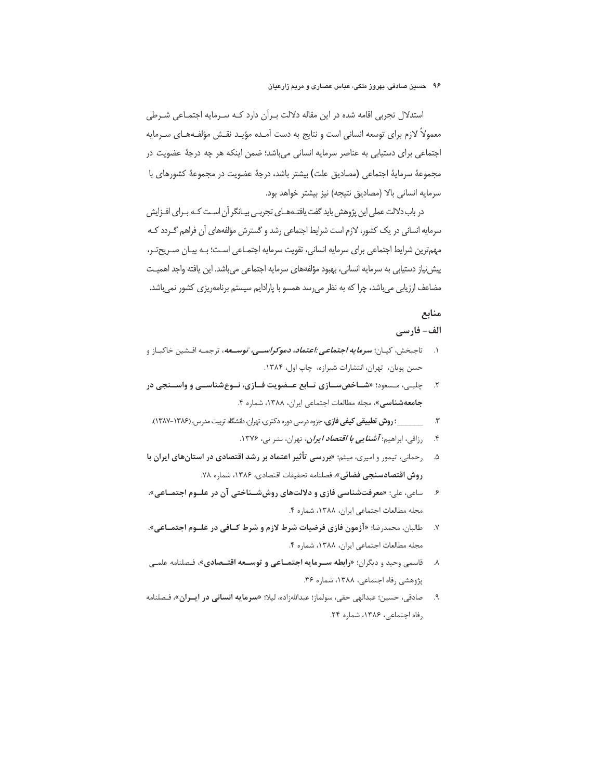استدلال تجربی اقامه شده در این مقاله دلالت بـرآن دارد کـه سـرمایه اجتمـاعی شـرطی معمولاً لازم براي توسعه انساني است و نتايج به دست آمـده مؤيـد نقـش مؤلفـههـاي سـرمايه اجتماعی برای دستیابی به عناصر سرمایه انسانی میباشد؛ ضمن اینکه هر چه درجهٔ عضویت در مجموعهٔ سرمایهٔ اجتماعی (مصادیق علت) بیشتر باشد، درجهٔ عضویت در مجموعهٔ کشورهای با سرمايه انساني بالا (مصاديق نتيجه) نيز بيشتر خواهد بود.

در باب دلالت عملی این پژوهش باید گفت یافتـههـای تجربـی بیـانگر آن اسـت کـه بـرای افــزایش سرمایه انسانی در یک کشور، لازم است شرایط اجتماعی رشد و گسترش مؤلفههای آن فراهم گــردد کــه مهمترین شرایط اجتماعی برای سرمایه انسانی، تقویت سرمایه اجتمـاعی اسـت؛ بـه بیـان صـریحتـر، پیش نیاز دستیابی به سرمایه انسانی، بهبود مؤلفههای سرمایه اجتماعی میباشد. این یافته واجد اهمیت مضاعف ارزیابی می باشد، چرا که به نظر می رسد همسو با پارادایم سیستم برنامهریزی کشور نمی باشد.

## منابع

#### الف- فارسي

- ۱. تاجبخش، کیـان؛ *سرمایه اجتماعی :اعتماد، دموکراســی، توســعه،* **ت**رجمـه افـشین خاکبـاز و حسن پویان، تهران، انتشارات شیرازه، چاپ اول، ۱۳۸۴.
- ۲. ـ چلبـی، مـسعود؛ «شـاخص سـازی تـابع عــضویت فـازی، نــوع شناســی و واســنجی در جامعه شناسی»، مجله مطالعات اجتماعی ایران، ۱۳۸۸، شماره ۴.
- - رزاقی، ابراهیم؛ *آشن<i>ایی با اقتصاد ایران***،** تهران، نشر نی، ۱۳۷۶.  $\cdot$
- ۵. در رحمانی، تیمور و امیری، میثم؛ «بررسی تأثیر اعتماد بر رشد اقتصادی در استانهای ایران با روش اقتصادسنجي فضائي»، فصلنامه تحقيقات اقتصادي، ١٣٨۶، شماره ٧٨.
- ۶. د ساعي، علي؛ «معرفتشناسي فازي و دلالتهاي روش شــناختي آن در علــوم اجتمــاعي»، مجله مطالعات اجتماعي ايران، ١٣٨٨، شماره ۴.
- ٧. طالبان، محمدرضا؛ «آزمون فازي فرضيات شرط لازم و شرط كــافي در علــوم اجتمــاعي»، مجله مطالعات اجتماعي ايران، ١٣٨٨، شماره ۴.
- ۸. قاسمی وحید و دیگران؛ «**رابطه سـرمایه اجتمــاعی و توســعه اقتــصادی»**، فـصلنامه علمـی پژوهشی رفاه اجتماعی، ۱۳۸۸، شماره ۳۶.
- ۹. صادقي، حسين؛ عبدالهي حقي، سولماز؛ عبداللهزاده، ليلا؛ «**سرمايه انساني در ايــران**»، فـصلنامه رفاه اجتماعی، ۱۳۸۶، شماره ۲۴.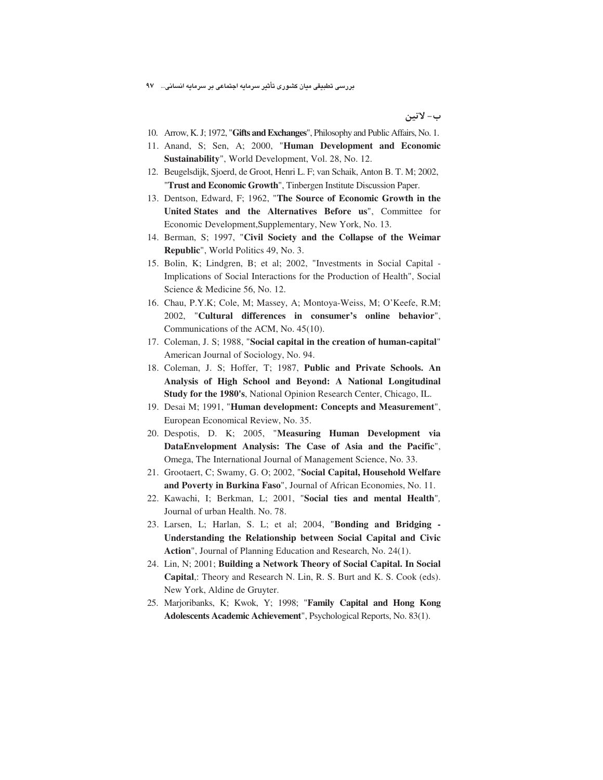بررسی تطبیقی میان کشوری تأثیر سرمایه اجتماعی بر سرمایه انسانی… ۹۷

ب- لاتين

- 10. Arrow, K. J; 1972, "**Gifts and Exchanges**", Philosophy and Public Affairs, No. 1.
- 11. Anand, S; Sen, A; 2000, "**Human Development and Economic Sustainability**", World Development, Vol. 28, No. 12.
- 12. Beugelsdijk, Sjoerd, de Groot, Henri L. F; van Schaik, Anton B. T. M; 2002, "**Trust and Economic Growth**", Tinbergen Institute Discussion Paper.
- 13. Dentson, Edward, F; 1962, "**The Source of Economic Growth in the United States and the Alternatives Before us**", Committee for Economic Development,Supplementary, New York, No. 13.
- 14. Berman, S; 1997, "**Civil Society and the Collapse of the Weimar Republic**", World Politics 49, No. 3.
- 15. Bolin, K; Lindgren, B; et al; 2002, "Investments in Social Capital Implications of Social Interactions for the Production of Health", Social Science & Medicine 56, No. 12.
- 16. Chau, P.Y.K; Cole, M; Massey, A; Montoya-Weiss, M; O'Keefe, R.M; 2002, "**Cultural differences in consumer's online behavior**", Communications of the ACM, No. 45(10).
- 17. Coleman, J. S; 1988, "**Social capital in the creation of human-capital**" American Journal of Sociology, No. 94.
- 18. Coleman, J. S; Hoffer, T; 1987, **Public and Private Schools. An Analysis of High School and Beyond: A National Longitudinal Study for the 1980's**, National Opinion Research Center, Chicago, IL.
- 19. Desai M; 1991, "**Human development: Concepts and Measurement**", European Economical Review, No. 35.
- 20. Despotis, D. K; 2005, "**Measuring Human Development via DataEnvelopment Analysis: The Case of Asia and the Pacific**", Omega, The International Journal of Management Science, No. 33.
- 21. Grootaert, C; Swamy, G. O; 2002, "**Social Capital, Household Welfare and Poverty in Burkina Faso**", Journal of African Economies, No. 11.
- 22. Kawachi, I; Berkman, L; 2001, "**Social ties and mental Health**"*,*  Journal of urban Health. No. 78.
- 23. Larsen, L; Harlan, S. L; et al; 2004, "**Bonding and Bridging Understanding the Relationship between Social Capital and Civic Action**", Journal of Planning Education and Research, No. 24(1).
- 24. Lin, N; 2001; **Building a Network Theory of Social Capital. In Social Capital**,: Theory and Research N. Lin, R. S. Burt and K. S. Cook (eds). New York, Aldine de Gruyter.
- 25. Marjoribanks, K; Kwok, Y; 1998; "**Family Capital and Hong Kong Adolescents Academic Achievement**", Psychological Reports, No. 83(1).